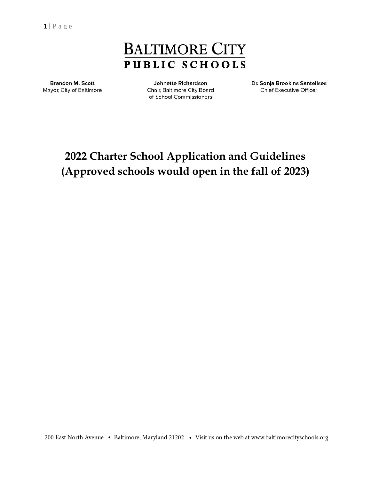**1 |** P a g e

# **BALTIMORE CITY PUBLIC SCHOOLS**

**Brandon M. Scott** Mayor, City of Baltimore

**Johnette Richardson** Chair, Baltimore City Board of School Commissioners

Dr. Sonja Brookins Santelises Chief Executive Officer

# **2022 Charter School Application and Guidelines (Approved schools would open in the fall of 2023)**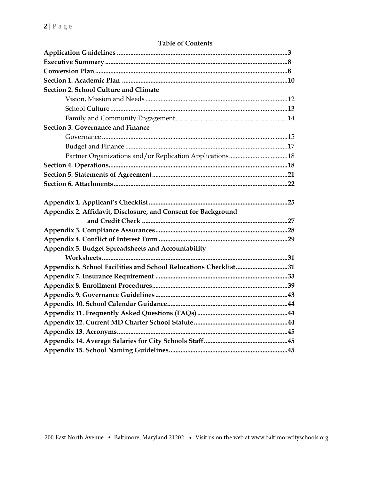| <b>Section 2. School Culture and Climate</b>                     |  |
|------------------------------------------------------------------|--|
|                                                                  |  |
|                                                                  |  |
|                                                                  |  |
| Section 3. Governance and Finance                                |  |
|                                                                  |  |
|                                                                  |  |
|                                                                  |  |
|                                                                  |  |
|                                                                  |  |
|                                                                  |  |
|                                                                  |  |
|                                                                  |  |
| Appendix 2. Affidavit, Disclosure, and Consent for Background    |  |
|                                                                  |  |
|                                                                  |  |
|                                                                  |  |
| Appendix 5. Budget Spreadsheets and Accountability               |  |
|                                                                  |  |
| Appendix 6. School Facilities and School Relocations Checklist31 |  |
|                                                                  |  |
|                                                                  |  |
|                                                                  |  |
|                                                                  |  |
|                                                                  |  |
|                                                                  |  |
|                                                                  |  |
|                                                                  |  |
|                                                                  |  |

# **Table of Contents**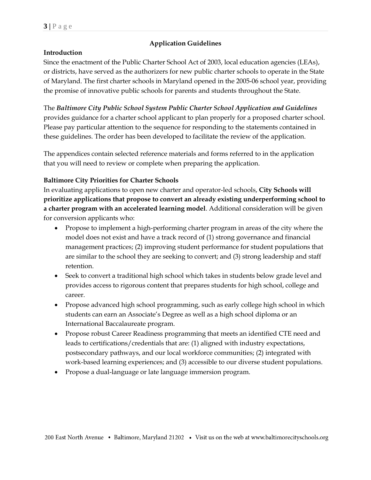# **Application Guidelines**

## **Introduction**

Since the enactment of the Public Charter School Act of 2003, local education agencies (LEAs), or districts, have served as the authorizers for new public charter schools to operate in the State of Maryland. The first charter schools in Maryland opened in the 2005-06 school year, providing the promise of innovative public schools for parents and students throughout the State.

The *Baltimore City Public School System Public Charter School Application and Guidelines*  provides guidance for a charter school applicant to plan properly for a proposed charter school. Please pay particular attention to the sequence for responding to the statements contained in these guidelines. The order has been developed to facilitate the review of the application.

The appendices contain selected reference materials and forms referred to in the application that you will need to review or complete when preparing the application.

## **Baltimore City Priorities for Charter Schools**

In evaluating applications to open new charter and operator-led schools, **City Schools will prioritize applications that propose to convert an already existing underperforming school to a charter program with an accelerated learning model**. Additional consideration will be given for conversion applicants who:

- Propose to implement a high-performing charter program in areas of the city where the model does not exist and have a track record of (1) strong governance and financial management practices; (2) improving student performance for student populations that are similar to the school they are seeking to convert; and (3) strong leadership and staff retention.
- Seek to convert a traditional high school which takes in students below grade level and provides access to rigorous content that prepares students for high school, college and career.
- Propose advanced high school programming, such as early college high school in which students can earn an Associate's Degree as well as a high school diploma or an International Baccalaureate program.
- Propose robust Career Readiness programming that meets an identified CTE need and leads to certifications/credentials that are: (1) aligned with industry expectations, postsecondary pathways, and our local workforce communities; (2) integrated with work-based learning experiences; and (3) accessible to our diverse student populations.
- Propose a dual-language or late language immersion program.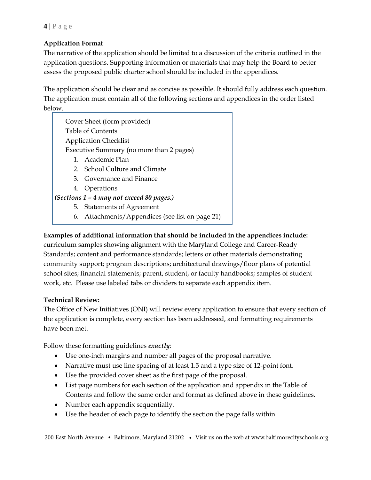# **Application Format**

The narrative of the application should be limited to a discussion of the criteria outlined in the application questions. Supporting information or materials that may help the Board to better assess the proposed public charter school should be included in the appendices.

The application should be clear and as concise as possible. It should fully address each question. The application must contain all of the following sections and appendices in the order listed below.

Cover Sheet (form provided) Table of Contents Application Checklist Executive Summary (no more than 2 pages) 1. Academic Plan 2. School Culture and Climate 3. Governance and Finance

4. Operations

# *(Sections 1 – 4 may not exceed 80 pages.)*

- 5. Statements of Agreement
- 6. Attachments/Appendices (see list on page 21)

# **Examples of additional information that should be included in the appendices include:**

curriculum samples showing alignment with the Maryland College and Career-Ready Standards; content and performance standards; letters or other materials demonstrating community support; program descriptions; architectural drawings/floor plans of potential school sites; financial statements; parent, student, or faculty handbooks; samples of student work, etc. Please use labeled tabs or dividers to separate each appendix item.

# **Technical Review:**

The Office of New Initiatives (ONI) will review every application to ensure that every section of the application is complete, every section has been addressed, and formatting requirements have been met.

Follow these formatting guidelines *exactly*:

- Use one-inch margins and number all pages of the proposal narrative.
- Narrative must use line spacing of at least 1.5 and a type size of 12-point font.
- Use the provided cover sheet as the first page of the proposal.
- List page numbers for each section of the application and appendix in the Table of Contents and follow the same order and format as defined above in these guidelines.
- Number each appendix sequentially.
- Use the header of each page to identify the section the page falls within.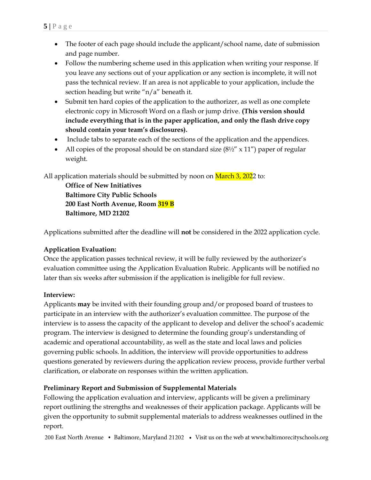- The footer of each page should include the applicant/school name, date of submission and page number.
- Follow the numbering scheme used in this application when writing your response. If you leave any sections out of your application or any section is incomplete, it will not pass the technical review. If an area is not applicable to your application, include the section heading but write "n/a" beneath it.
- Submit ten hard copies of the application to the authorizer, as well as one complete electronic copy in Microsoft Word on a flash or jump drive. **(This version should include everything that is in the paper application, and only the flash drive copy should contain your team's disclosures).**
- Include tabs to separate each of the sections of the application and the appendices.
- All copies of the proposal should be on standard size  $(8\frac{1}{2}x)$  x 11") paper of regular weight.

All application materials should be submitted by noon on March 3, 2022 to:

**Office of New Initiatives Baltimore City Public Schools 200 East North Avenue, Room 319 B Baltimore, MD 21202**

Applications submitted after the deadline will **not** be considered in the 2022 application cycle.

# **Application Evaluation:**

Once the application passes technical review, it will be fully reviewed by the authorizer's evaluation committee using the Application Evaluation Rubric. Applicants will be notified no later than six weeks after submission if the application is ineligible for full review.

# **Interview:**

Applicants **may** be invited with their founding group and/or proposed board of trustees to participate in an interview with the authorizer's evaluation committee. The purpose of the interview is to assess the capacity of the applicant to develop and deliver the school's academic program. The interview is designed to determine the founding group's understanding of academic and operational accountability, as well as the state and local laws and policies governing public schools. In addition, the interview will provide opportunities to address questions generated by reviewers during the application review process, provide further verbal clarification, or elaborate on responses within the written application.

# **Preliminary Report and Submission of Supplemental Materials**

Following the application evaluation and interview, applicants will be given a preliminary report outlining the strengths and weaknesses of their application package. Applicants will be given the opportunity to submit supplemental materials to address weaknesses outlined in the report.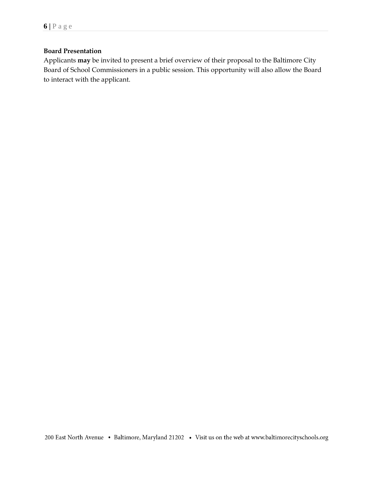# **Board Presentation**

Applicants **may** be invited to present a brief overview of their proposal to the Baltimore City Board of School Commissioners in a public session. This opportunity will also allow the Board to interact with the applicant.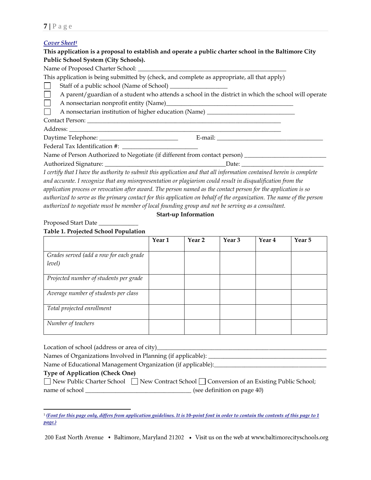#### *Cover Sheet<sup>1</sup>*

## **This application is a proposal to establish and operate a public charter school in the Baltimore City Public School System (City Schools).**

Name of Proposed Charter School: \_\_\_\_\_\_\_\_\_\_\_\_\_\_\_\_\_\_\_\_\_\_\_\_\_\_\_\_\_\_\_\_\_\_\_\_\_\_\_\_\_\_\_\_\_\_\_\_\_

This application is being submitted by (check, and complete as appropriate, all that apply)

Staff of a public school (Name of School) \_\_\_\_\_\_\_\_\_\_\_\_\_\_\_\_\_\_\_

A parent/guardian of a student who attends a school in the district in which the school will operate  $\Box$ 

 $\Box$ A nonsectarian nonprofit entity (Name)\_\_\_\_\_\_\_\_\_\_\_\_\_\_\_\_\_\_\_\_\_\_\_\_\_\_\_\_\_\_\_\_\_\_\_\_\_\_\_\_\_\_

A nonsectarian institution of higher education (Name) **The Contract** 

Contact Person: \_\_\_\_\_\_\_\_\_\_\_\_\_\_\_\_\_\_\_\_\_\_\_\_\_\_\_\_\_\_\_\_\_\_\_\_\_\_\_\_\_\_\_\_\_\_\_\_\_\_\_\_\_\_\_\_\_\_\_\_\_\_\_\_

Address: \_\_\_\_\_\_\_\_\_\_\_\_\_\_\_\_\_\_\_\_\_\_\_\_\_\_\_\_\_\_\_\_\_\_\_\_\_\_\_\_\_\_\_\_\_\_\_\_\_\_\_\_\_\_\_\_\_\_\_\_\_\_\_\_\_\_\_\_\_\_

Daytime Telephone: \_\_\_\_\_\_\_\_\_\_\_\_\_\_\_\_\_\_\_\_\_\_\_\_\_\_ E-mail: \_\_\_\_\_\_\_\_\_\_\_\_\_\_\_\_\_\_\_\_\_\_\_\_\_\_\_\_\_\_\_\_\_\_\_

Federal Tax Identification #: \_\_\_\_\_\_\_\_\_\_\_\_\_\_\_\_\_\_\_\_\_\_\_\_\_

Name of Person Authorized to Negotiate (if different from contact person) \_\_\_\_\_\_\_\_\_\_\_\_\_\_\_\_\_\_\_\_\_\_\_\_\_\_\_

Authorized Signature: \_\_\_\_\_\_\_\_\_\_\_\_\_\_\_\_\_\_\_\_\_\_\_\_\_\_\_\_\_\_\_\_\_\_\_\_\_\_\_\_Date: \_\_\_\_\_\_\_\_\_\_\_\_\_\_\_\_\_\_\_\_\_\_\_\_\_\_\_

*I certify that I have the authority to submit this application and that all information contained herein is complete and accurate. I recognize that any misrepresentation or plagiarism could result in disqualification from the application process or revocation after award. The person named as the contact person for the application is so authorized to serve as the primary contact for this application on behalf of the organization. The name of the person authorized to negotiate must be member of local founding group and not be serving as a consultant.*

#### **Start-up Information**

#### Proposed Start Date \_\_\_\_\_\_\_\_\_\_\_\_\_

## **Table 1. Projected School Population**

|                                         | Year <sub>1</sub> | Year <sub>2</sub> | Year <sub>3</sub> | Year <sub>4</sub> | Year 5 |
|-----------------------------------------|-------------------|-------------------|-------------------|-------------------|--------|
|                                         |                   |                   |                   |                   |        |
| Grades served (add a row for each grade |                   |                   |                   |                   |        |
| level)                                  |                   |                   |                   |                   |        |
| Projected number of students per grade  |                   |                   |                   |                   |        |
| Average number of students per class    |                   |                   |                   |                   |        |
| Total projected enrollment              |                   |                   |                   |                   |        |
| Number of teachers                      |                   |                   |                   |                   |        |

Location of school (address or area of city)\_\_\_\_\_\_\_\_\_\_\_\_\_\_\_\_\_\_\_\_\_\_\_\_\_\_\_\_\_\_\_\_\_\_\_\_\_\_\_\_\_\_\_\_\_\_\_\_\_\_\_\_\_\_\_\_

Names of Organizations Involved in Planning (if applicable): \_\_\_\_\_\_\_\_\_\_\_\_\_\_\_\_\_\_\_\_

Name of Educational Management Organization (if applicable):

## **Type of Application (Check One)**

|                | □ New Public Charter School □ New Contract School □ Conversion of an Existing Public School; |
|----------------|----------------------------------------------------------------------------------------------|
| name of school | (see definition on page 40)                                                                  |

 $\overline{\phantom{a}}$ 1 *(Font for this page only, differs from application guidelines. It is 10-point font in order to contain the contents of this page to 1 page.)*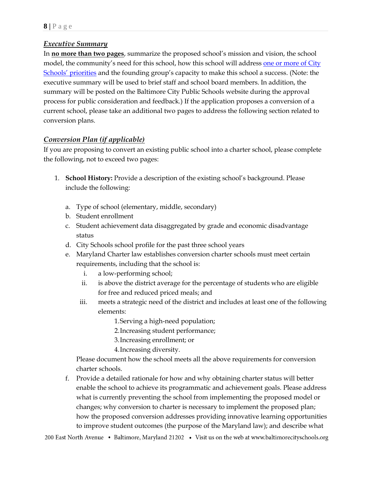# *Executive Summary*

In **no more than two pages**, summarize the proposed school's mission and vision, the school model, the community's need for this school, how this school will address one [or more](https://www.baltimorecityschools.org/board-school-commissioners) of City [Schools' priorities](https://www.baltimorecityschools.org/board-school-commissioners) and the founding group's capacity to make this school a success. (Note: the executive summary will be used to brief staff and school board members. In addition, the summary will be posted on the Baltimore City Public Schools website during the approval process for public consideration and feedback.) If the application proposes a conversion of a current school, please take an additional two pages to address the following section related to conversion plans.

# *Conversion Plan (if applicable)*

If you are proposing to convert an existing public school into a charter school, please complete the following, not to exceed two pages:

- 1. **School History:** Provide a description of the existing school's background. Please include the following:
	- a. Type of school (elementary, middle, secondary)
	- b. Student enrollment
	- c. Student achievement data disaggregated by grade and economic disadvantage status
	- d. City Schools school profile for the past three school years
	- e. Maryland Charter law establishes conversion charter schools must meet certain requirements, including that the school is:
		- i. a low-performing school;
		- ii. is above the district average for the percentage of students who are eligible for free and reduced priced meals; and
		- iii. meets a strategic need of the district and includes at least one of the following elements:
			- 1.Serving a high-need population;
			- 2.Increasing student performance;
			- 3.Increasing enrollment; or
			- 4.Increasing diversity.

Please document how the school meets all the above requirements for conversion charter schools.

f. Provide a detailed rationale for how and why obtaining charter status will better enable the school to achieve its programmatic and achievement goals. Please address what is currently preventing the school from implementing the proposed model or changes; why conversion to charter is necessary to implement the proposed plan; how the proposed conversion addresses providing innovative learning opportunities to improve student outcomes (the purpose of the Maryland law); and describe what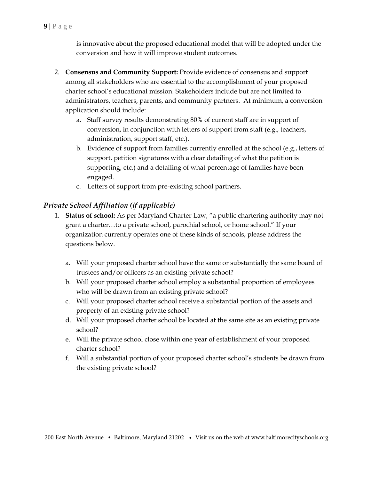is innovative about the proposed educational model that will be adopted under the conversion and how it will improve student outcomes.

- 2. **Consensus and Community Support:** Provide evidence of consensus and support among all stakeholders who are essential to the accomplishment of your proposed charter school's educational mission. Stakeholders include but are not limited to administrators, teachers, parents, and community partners. At minimum, a conversion application should include:
	- a. Staff survey results demonstrating 80% of current staff are in support of conversion, in conjunction with letters of support from staff (e.g., teachers, administration, support staff, etc.).
	- b. Evidence of support from families currently enrolled at the school (e.g., letters of support, petition signatures with a clear detailing of what the petition is supporting, etc.) and a detailing of what percentage of families have been engaged.
	- c. Letters of support from pre-existing school partners.

# *Private School Affiliation (if applicable)*

- 1. **Status of school:** As per Maryland Charter Law, "a public chartering authority may not grant a charter…to a private school, parochial school, or home school." If your organization currently operates one of these kinds of schools, please address the questions below.
	- a. Will your proposed charter school have the same or substantially the same board of trustees and/or officers as an existing private school?
	- b. Will your proposed charter school employ a substantial proportion of employees who will be drawn from an existing private school?
	- c. Will your proposed charter school receive a substantial portion of the assets and property of an existing private school?
	- d. Will your proposed charter school be located at the same site as an existing private school?
	- e. Will the private school close within one year of establishment of your proposed charter school?
	- f. Will a substantial portion of your proposed charter school's students be drawn from the existing private school?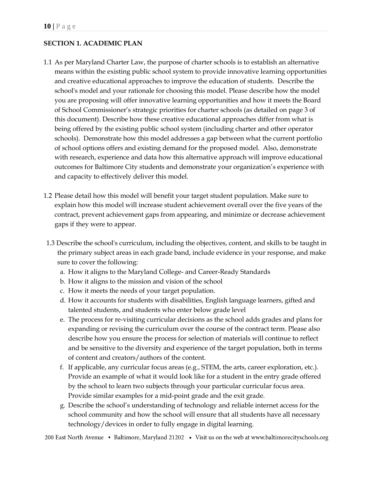# **SECTION 1. ACADEMIC PLAN**

- 1.1 As per Maryland Charter Law, the purpose of charter schools is to establish an alternative means within the existing public school system to provide innovative learning opportunities and creative educational approaches to improve the education of students. Describe the school's model and your rationale for choosing this model. Please describe how the model you are proposing will offer innovative learning opportunities and how it meets the Board of School Commissioner's strategic priorities for charter schools (as detailed on page 3 of this document). Describe how these creative educational approaches differ from what is being offered by the existing public school system (including charter and other operator schools). Demonstrate how this model addresses a gap between what the current portfolio of school options offers and existing demand for the proposed model. Also, demonstrate with research, experience and data how this alternative approach will improve educational outcomes for Baltimore City students and demonstrate your organization's experience with and capacity to effectively deliver this model.
- 1.2 Please detail how this model will benefit your target student population. Make sure to explain how this model will increase student achievement overall over the five years of the contract, prevent achievement gaps from appearing, and minimize or decrease achievement gaps if they were to appear.
- 1.3 Describe the school's curriculum, including the objectives, content, and skills to be taught in the primary subject areas in each grade band, include evidence in your response, and make sure to cover the following:
	- a. How it aligns to the Maryland College- and Career-Ready Standards
	- b. How it aligns to the mission and vision of the school
	- c. How it meets the needs of your target population.
	- d. How it accounts for students with disabilities, English language learners, gifted and talented students, and students who enter below grade level
	- e. The process for re-visiting curricular decisions as the school adds grades and plans for expanding or revising the curriculum over the course of the contract term. Please also describe how you ensure the process for selection of materials will continue to reflect and be sensitive to the diversity and experience of the target population, both in terms of content and creators/authors of the content.
	- f. If applicable, any curricular focus areas (e.g., STEM, the arts, career exploration, etc.). Provide an example of what it would look like for a student in the entry grade offered by the school to learn two subjects through your particular curricular focus area. Provide similar examples for a mid-point grade and the exit grade.
	- g. Describe the school's understanding of technology and reliable internet access for the school community and how the school will ensure that all students have all necessary technology/devices in order to fully engage in digital learning.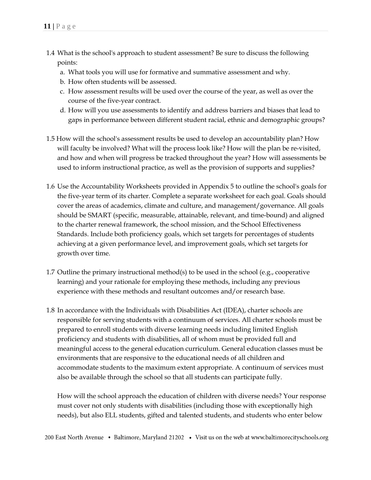- 1.4 What is the school's approach to student assessment? Be sure to discuss the following points:
	- a. What tools you will use for formative and summative assessment and why.
	- b. How often students will be assessed.
	- c. How assessment results will be used over the course of the year, as well as over the course of the five-year contract.
	- d. How will you use assessments to identify and address barriers and biases that lead to gaps in performance between different student racial, ethnic and demographic groups?
- 1.5 How will the school's assessment results be used to develop an accountability plan? How will faculty be involved? What will the process look like? How will the plan be re-visited, and how and when will progress be tracked throughout the year? How will assessments be used to inform instructional practice, as well as the provision of supports and supplies?
- 1.6 Use the Accountability Worksheets provided in Appendix 5 to outline the school's goals for the five-year term of its charter. Complete a separate worksheet for each goal. Goals should cover the areas of academics, climate and culture, and management/governance. All goals should be SMART (specific, measurable, attainable, relevant, and time-bound) and aligned to the charter renewal framework, the school mission, and the School Effectiveness Standards. Include both proficiency goals, which set targets for percentages of students achieving at a given performance level, and improvement goals, which set targets for growth over time.
- 1.7 Outline the primary instructional method(s) to be used in the school (e.g., cooperative learning) and your rationale for employing these methods, including any previous experience with these methods and resultant outcomes and/or research base.
- 1.8 In accordance with the Individuals with Disabilities Act (IDEA), charter schools are responsible for serving students with a continuum of services. All charter schools must be prepared to enroll students with diverse learning needs including limited English proficiency and students with disabilities, all of whom must be provided full and meaningful access to the general education curriculum. General education classes must be environments that are responsive to the educational needs of all children and accommodate students to the maximum extent appropriate. A continuum of services must also be available through the school so that all students can participate fully.

How will the school approach the education of children with diverse needs? Your response must cover not only students with disabilities (including those with exceptionally high needs), but also ELL students, gifted and talented students, and students who enter below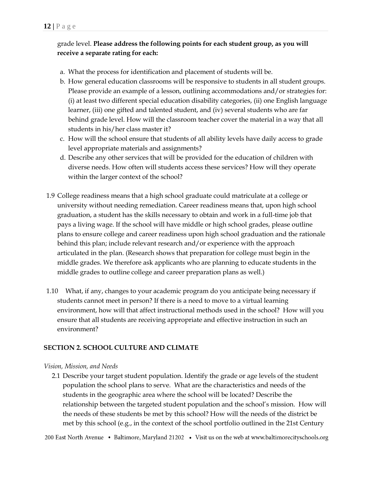# grade level. **Please address the following points for each student group, as you will receive a separate rating for each:**

- a. What the process for identification and placement of students will be.
- b. How general education classrooms will be responsive to students in all student groups. Please provide an example of a lesson, outlining accommodations and/or strategies for: (i) at least two different special education disability categories, (ii) one English language learner, (iii) one gifted and talented student, and (iv) several students who are far behind grade level. How will the classroom teacher cover the material in a way that all students in his/her class master it?
- c. How will the school ensure that students of all ability levels have daily access to grade level appropriate materials and assignments?
- d. Describe any other services that will be provided for the education of children with diverse needs. How often will students access these services? How will they operate within the larger context of the school?
- 1.9 College readiness means that a high school graduate could matriculate at a college or university without needing remediation. Career readiness means that, upon high school graduation, a student has the skills necessary to obtain and work in a full-time job that pays a living wage. If the school will have middle or high school grades, please outline plans to ensure college and career readiness upon high school graduation and the rationale behind this plan; include relevant research and/or experience with the approach articulated in the plan. (Research shows that preparation for college must begin in the middle grades. We therefore ask applicants who are planning to educate students in the middle grades to outline college and career preparation plans as well.)
- 1.10 What, if any, changes to your academic program do you anticipate being necessary if students cannot meet in person? If there is a need to move to a virtual learning environment, how will that affect instructional methods used in the school? How will you ensure that all students are receiving appropriate and effective instruction in such an environment?

# **SECTION 2. SCHOOL CULTURE AND CLIMATE**

#### *Vision, Mission, and Needs*

2.1 Describe your target student population. Identify the grade or age levels of the student population the school plans to serve. What are the characteristics and needs of the students in the geographic area where the school will be located? Describe the relationship between the targeted student population and the school's mission. How will the needs of these students be met by this school? How will the needs of the district be met by this school (e.g., in the context of the school portfolio outlined in the 21st Century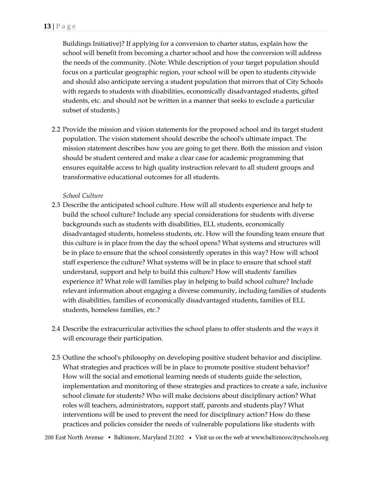Buildings Initiative)? If applying for a conversion to charter status, explain how the school will benefit from becoming a charter school and how the conversion will address the needs of the community. (Note: While description of your target population should focus on a particular geographic region, your school will be open to students citywide and should also anticipate serving a student population that mirrors that of City Schools with regards to students with disabilities, economically disadvantaged students, gifted students, etc. and should not be written in a manner that seeks to exclude a particular subset of students.)

2.2 Provide the mission and vision statements for the proposed school and its target student population. The vision statement should describe the school's ultimate impact. The mission statement describes how you are going to get there. Both the mission and vision should be student centered and make a clear case for academic programming that ensures equitable access to high quality instruction relevant to all student groups and transformative educational outcomes for all students.

#### *School Culture*

- 2.3 Describe the anticipated school culture. How will all students experience and help to build the school culture? Include any special considerations for students with diverse backgrounds such as students with disabilities, ELL students, economically disadvantaged students, homeless students, etc. How will the founding team ensure that this culture is in place from the day the school opens? What systems and structures will be in place to ensure that the school consistently operates in this way? How will school staff experience the culture? What systems will be in place to ensure that school staff understand, support and help to build this culture? How will students' families experience it? What role will families play in helping to build school culture? Include relevant information about engaging a diverse community, including families of students with disabilities, families of economically disadvantaged students, families of ELL students, homeless families, etc.?
- 2.4 Describe the extracurricular activities the school plans to offer students and the ways it will encourage their participation.
- 2.5 Outline the school's philosophy on developing positive student behavior and discipline. What strategies and practices will be in place to promote positive student behavior? How will the social and emotional learning needs of students guide the selection, implementation and monitoring of these strategies and practices to create a safe, inclusive school climate for students? Who will make decisions about disciplinary action? What roles will teachers, administrators, support staff, parents and students play? What interventions will be used to prevent the need for disciplinary action? How do these practices and policies consider the needs of vulnerable populations like students with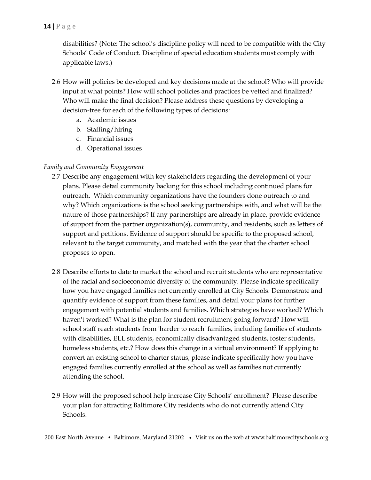disabilities? (Note: The school's discipline policy will need to be compatible with the City Schools' Code of Conduct. Discipline of special education students must comply with applicable laws.)

- 2.6 How will policies be developed and key decisions made at the school? Who will provide input at what points? How will school policies and practices be vetted and finalized? Who will make the final decision? Please address these questions by developing a decision-tree for each of the following types of decisions:
	- a. Academic issues
	- b. Staffing/hiring
	- c. Financial issues
	- d. Operational issues

## *Family and Community Engagement*

- 2.7 Describe any engagement with key stakeholders regarding the development of your plans. Please detail community backing for this school including continued plans for outreach. Which community organizations have the founders done outreach to and why? Which organizations is the school seeking partnerships with, and what will be the nature of those partnerships? If any partnerships are already in place, provide evidence of support from the partner organization(s), community, and residents, such as letters of support and petitions. Evidence of support should be specific to the proposed school, relevant to the target community, and matched with the year that the charter school proposes to open.
- 2.8 Describe efforts to date to market the school and recruit students who are representative of the racial and socioeconomic diversity of the community. Please indicate specifically how you have engaged families not currently enrolled at City Schools. Demonstrate and quantify evidence of support from these families, and detail your plans for further engagement with potential students and families. Which strategies have worked? Which haven't worked? What is the plan for student recruitment going forward? How will school staff reach students from 'harder to reach' families, including families of students with disabilities, ELL students, economically disadvantaged students, foster students, homeless students, etc.? How does this change in a virtual environment? If applying to convert an existing school to charter status, please indicate specifically how you have engaged families currently enrolled at the school as well as families not currently attending the school.
- 2.9 How will the proposed school help increase City Schools' enrollment? Please describe your plan for attracting Baltimore City residents who do not currently attend City Schools.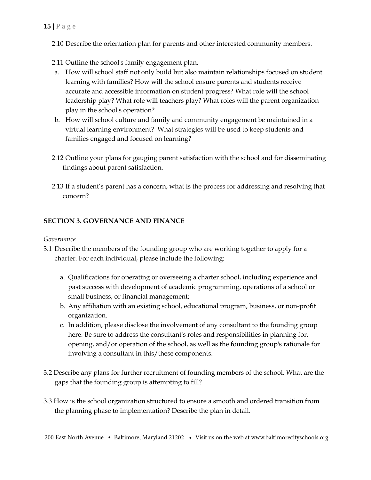- 2.10 Describe the orientation plan for parents and other interested community members.
- 2.11 Outline the school's family engagement plan.
- a. How will school staff not only build but also maintain relationships focused on student learning with families? How will the school ensure parents and students receive accurate and accessible information on student progress? What role will the school leadership play? What role will teachers play? What roles will the parent organization play in the school's operation?
- b. How will school culture and family and community engagement be maintained in a virtual learning environment? What strategies will be used to keep students and families engaged and focused on learning?
- 2.12 Outline your plans for gauging parent satisfaction with the school and for disseminating findings about parent satisfaction.
- 2.13 If a student's parent has a concern, what is the process for addressing and resolving that concern?

## **SECTION 3. GOVERNANCE AND FINANCE**

*Governance*

- 3.1 Describe the members of the founding group who are working together to apply for a charter. For each individual, please include the following:
	- a. Qualifications for operating or overseeing a charter school, including experience and past success with development of academic programming, operations of a school or small business, or financial management;
	- b. Any affiliation with an existing school, educational program, business, or non-profit organization.
	- c. In addition, please disclose the involvement of any consultant to the founding group here. Be sure to address the consultant's roles and responsibilities in planning for, opening, and/or operation of the school, as well as the founding group's rationale for involving a consultant in this/these components.
- 3.2 Describe any plans for further recruitment of founding members of the school. What are the gaps that the founding group is attempting to fill?
- 3.3 How is the school organization structured to ensure a smooth and ordered transition from the planning phase to implementation? Describe the plan in detail.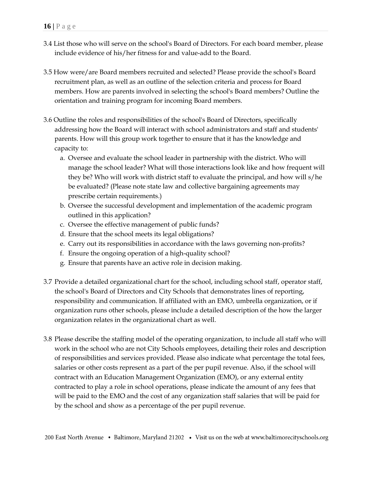- 3.4 List those who will serve on the school's Board of Directors. For each board member, please include evidence of his/her fitness for and value-add to the Board.
- 3.5 How were/are Board members recruited and selected? Please provide the school's Board recruitment plan, as well as an outline of the selection criteria and process for Board members. How are parents involved in selecting the school's Board members? Outline the orientation and training program for incoming Board members.
- 3.6 Outline the roles and responsibilities of the school's Board of Directors, specifically addressing how the Board will interact with school administrators and staff and students' parents. How will this group work together to ensure that it has the knowledge and capacity to:
	- a. Oversee and evaluate the school leader in partnership with the district. Who will manage the school leader? What will those interactions look like and how frequent will they be? Who will work with district staff to evaluate the principal, and how will s/he be evaluated? (Please note state law and collective bargaining agreements may prescribe certain requirements.)
	- b. Oversee the successful development and implementation of the academic program outlined in this application?
	- c. Oversee the effective management of public funds?
	- d. Ensure that the school meets its legal obligations?
	- e. Carry out its responsibilities in accordance with the laws governing non-profits?
	- f. Ensure the ongoing operation of a high-quality school?
	- g. Ensure that parents have an active role in decision making.
- 3.7 Provide a detailed organizational chart for the school, including school staff, operator staff, the school's Board of Directors and City Schools that demonstrates lines of reporting, responsibility and communication. If affiliated with an EMO, umbrella organization, or if organization runs other schools, please include a detailed description of the how the larger organization relates in the organizational chart as well.
- 3.8 Please describe the staffing model of the operating organization, to include all staff who will work in the school who are not City Schools employees, detailing their roles and description of responsibilities and services provided. Please also indicate what percentage the total fees, salaries or other costs represent as a part of the per pupil revenue. Also, if the school will contract with an Education Management Organization (EMO), or any external entity contracted to play a role in school operations, please indicate the amount of any fees that will be paid to the EMO and the cost of any organization staff salaries that will be paid for by the school and show as a percentage of the per pupil revenue.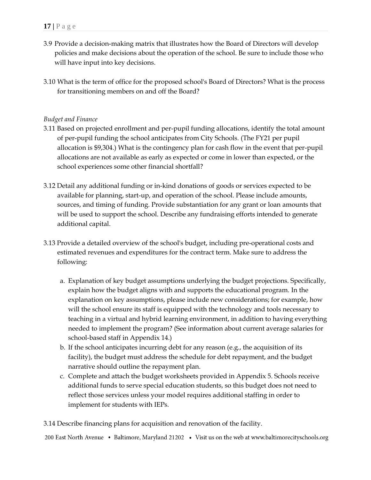- 3.9 Provide a decision-making matrix that illustrates how the Board of Directors will develop policies and make decisions about the operation of the school. Be sure to include those who will have input into key decisions.
- 3.10 What is the term of office for the proposed school's Board of Directors? What is the process for transitioning members on and off the Board?

## *Budget and Finance*

- 3.11 Based on projected enrollment and per-pupil funding allocations, identify the total amount of per-pupil funding the school anticipates from City Schools. (The FY21 per pupil allocation is \$9,304.) What is the contingency plan for cash flow in the event that per-pupil allocations are not available as early as expected or come in lower than expected, or the school experiences some other financial shortfall?
- 3.12 Detail any additional funding or in-kind donations of goods or services expected to be available for planning, start-up, and operation of the school. Please include amounts, sources, and timing of funding. Provide substantiation for any grant or loan amounts that will be used to support the school. Describe any fundraising efforts intended to generate additional capital.
- 3.13 Provide a detailed overview of the school's budget, including pre-operational costs and estimated revenues and expenditures for the contract term. Make sure to address the following:
	- a. Explanation of key budget assumptions underlying the budget projections. Specifically, explain how the budget aligns with and supports the educational program. In the explanation on key assumptions, please include new considerations; for example, how will the school ensure its staff is equipped with the technology and tools necessary to teaching in a virtual and hybrid learning environment, in addition to having everything needed to implement the program? (See information about current average salaries for school-based staff in Appendix 14.)
	- b. If the school anticipates incurring debt for any reason (e.g., the acquisition of its facility), the budget must address the schedule for debt repayment, and the budget narrative should outline the repayment plan.
	- c. Complete and attach the budget worksheets provided in Appendix 5. Schools receive additional funds to serve special education students, so this budget does not need to reflect those services unless your model requires additional staffing in order to implement for students with IEPs.

3.14 Describe financing plans for acquisition and renovation of the facility.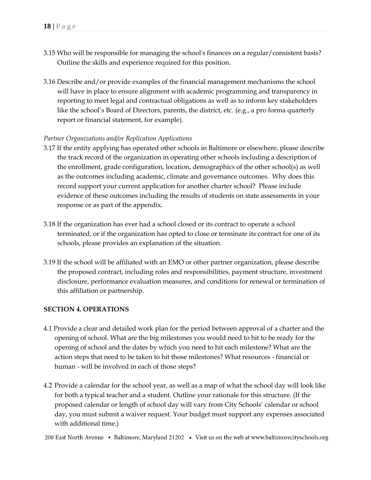- 3.15 Who will be responsible for managing the school's finances on a regular/consistent basis? Outline the skills and experience required for this position.
- 3.16 Describe and/or provide examples of the financial management mechanisms the school will have in place to ensure alignment with academic programming and transparency in reporting to meet legal and contractual obligations as well as to inform key stakeholders like the school's Board of Directors, parents, the district, etc. (e.g., a pro forma quarterly report or financial statement, for example).

#### *Partner Organizations and/or Replication Applications*

- 3.17 If the entity applying has operated other schools in Baltimore or elsewhere, please describe the track record of the organization in operating other schools including a description of the enrollment, grade configuration, location, demographics of the other school(s) as well as the outcomes including academic, climate and governance outcomes. Why does this record support your current application for another charter school? Please include evidence of these outcomes including the results of students on state assessments in your response or as part of the appendix.
- 3.18 If the organization has ever had a school closed or its contract to operate a school terminated, or if the organization has opted to close or terminate its contract for one of its schools, please provides an explanation of the situation.
- 3.19 If the school will be affiliated with an EMO or other partner organization, please describe the proposed contract, including roles and responsibilities, payment structure, investment disclosure, performance evaluation measures, and conditions for renewal or termination of this affiliation or partnership.

#### **SECTION 4. OPERATIONS**

- 4.1 Provide a clear and detailed work plan for the period between approval of a charter and the opening of school. What are the big milestones you would need to hit to be ready for the opening of school and the dates by which you need to hit each milestone? What are the action steps that need to be taken to hit those milestones? What resources - financial or human - will be involved in each of those steps?
- 4.2 Provide a calendar for the school year, as well as a map of what the school day will look like for both a typical teacher and a student. Outline your rationale for this structure. (If the proposed calendar or length of school day will vary from City Schools' calendar or school day, you must submit a waiver request. Your budget must support any expenses associated with additional time.)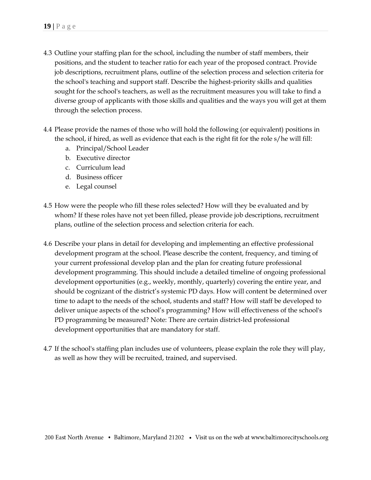- 4.3 Outline your staffing plan for the school, including the number of staff members, their positions, and the student to teacher ratio for each year of the proposed contract. Provide job descriptions, recruitment plans, outline of the selection process and selection criteria for the school's teaching and support staff. Describe the highest-priority skills and qualities sought for the school's teachers, as well as the recruitment measures you will take to find a diverse group of applicants with those skills and qualities and the ways you will get at them through the selection process.
- 4.4 Please provide the names of those who will hold the following (or equivalent) positions in the school, if hired, as well as evidence that each is the right fit for the role s/he will fill:
	- a. Principal/School Leader
	- b. Executive director
	- c. Curriculum lead
	- d. Business officer
	- e. Legal counsel
- 4.5 How were the people who fill these roles selected? How will they be evaluated and by whom? If these roles have not yet been filled, please provide job descriptions, recruitment plans, outline of the selection process and selection criteria for each.
- 4.6 Describe your plans in detail for developing and implementing an effective professional development program at the school. Please describe the content, frequency, and timing of your current professional develop plan and the plan for creating future professional development programming. This should include a detailed timeline of ongoing professional development opportunities (e.g., weekly, monthly, quarterly) covering the entire year, and should be cognizant of the district's systemic PD days. How will content be determined over time to adapt to the needs of the school, students and staff? How will staff be developed to deliver unique aspects of the school's programming? How will effectiveness of the school's PD programming be measured? Note: There are certain district-led professional development opportunities that are mandatory for staff.
- 4.7 If the school's staffing plan includes use of volunteers, please explain the role they will play, as well as how they will be recruited, trained, and supervised.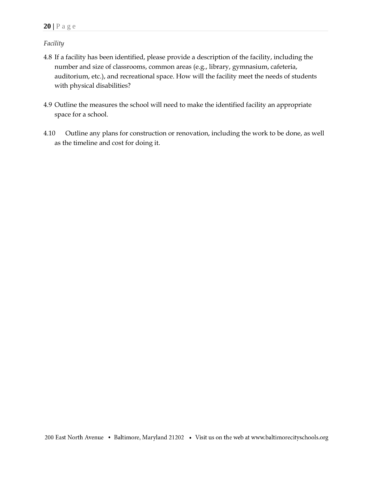## *Facility*

- 4.8 If a facility has been identified, please provide a description of the facility, including the number and size of classrooms, common areas (e.g., library, gymnasium, cafeteria, auditorium, etc.), and recreational space. How will the facility meet the needs of students with physical disabilities?
- 4.9 Outline the measures the school will need to make the identified facility an appropriate space for a school.
- 4.10 Outline any plans for construction or renovation, including the work to be done, as well as the timeline and cost for doing it.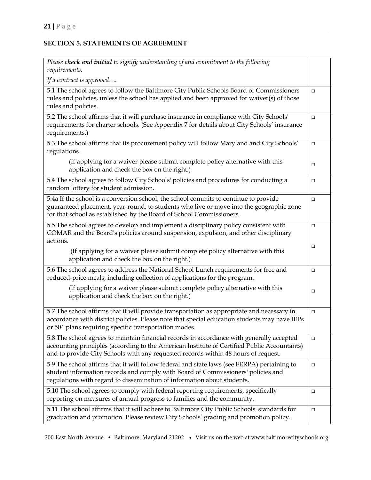# **SECTION 5. STATEMENTS OF AGREEMENT**

| Please check and initial to signify understanding of and commitment to the following<br>requirements.                                                                                                                                                                          |        |
|--------------------------------------------------------------------------------------------------------------------------------------------------------------------------------------------------------------------------------------------------------------------------------|--------|
| If a contract is approved                                                                                                                                                                                                                                                      |        |
| 5.1 The school agrees to follow the Baltimore City Public Schools Board of Commissioners<br>rules and policies, unless the school has applied and been approved for waiver(s) of those<br>rules and policies.                                                                  | $\Box$ |
| 5.2 The school affirms that it will purchase insurance in compliance with City Schools'<br>requirements for charter schools. (See Appendix 7 for details about City Schools' insurance<br>requirements.)                                                                       | $\Box$ |
| 5.3 The school affirms that its procurement policy will follow Maryland and City Schools'<br>regulations.                                                                                                                                                                      | □      |
| (If applying for a waiver please submit complete policy alternative with this<br>application and check the box on the right.)                                                                                                                                                  | □      |
| 5.4 The school agrees to follow City Schools' policies and procedures for conducting a<br>random lottery for student admission.                                                                                                                                                | □      |
| 5.4a If the school is a conversion school, the school commits to continue to provide<br>guaranteed placement, year-round, to students who live or move into the geographic zone<br>for that school as established by the Board of School Commissioners.                        | $\Box$ |
| 5.5 The school agrees to develop and implement a disciplinary policy consistent with<br>COMAR and the Board's policies around suspension, expulsion, and other disciplinary<br>actions.                                                                                        | □      |
| (If applying for a waiver please submit complete policy alternative with this<br>application and check the box on the right.)                                                                                                                                                  | □      |
| 5.6 The school agrees to address the National School Lunch requirements for free and<br>reduced-price meals, including collection of applications for the program.                                                                                                             | $\Box$ |
| (If applying for a waiver please submit complete policy alternative with this<br>application and check the box on the right.)                                                                                                                                                  | □      |
| 5.7 The school affirms that it will provide transportation as appropriate and necessary in<br>accordance with district policies. Please note that special education students may have IEPs<br>or 504 plans requiring specific transportation modes.                            | $\Box$ |
| 5.8 The school agrees to maintain financial records in accordance with generally accepted<br>accounting principles (according to the American Institute of Certified Public Accountants)<br>and to provide City Schools with any requested records within 48 hours of request. | $\Box$ |
| 5.9 The school affirms that it will follow federal and state laws (see FERPA) pertaining to<br>student information records and comply with Board of Commissioners' policies and<br>regulations with regard to dissemination of information about students.                     | $\Box$ |
| 5.10 The school agrees to comply with federal reporting requirements, specifically<br>reporting on measures of annual progress to families and the community.                                                                                                                  | $\Box$ |
| 5.11 The school affirms that it will adhere to Baltimore City Public Schools' standards for<br>graduation and promotion. Please review City Schools' grading and promotion policy.                                                                                             | $\Box$ |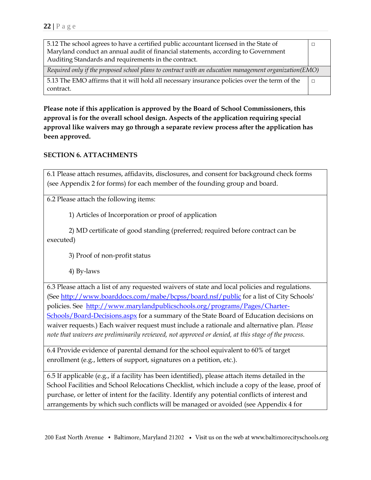| 5.12 The school agrees to have a certified public accountant licensed in the State of                 |  |
|-------------------------------------------------------------------------------------------------------|--|
| Maryland conduct an annual audit of financial statements, according to Government                     |  |
| Auditing Standards and requirements in the contract.                                                  |  |
| Required only if the proposed school plans to contract with an education management organization(EMO) |  |
| 5.13 The EMO affirms that it will hold all necessary insurance policies over the term of the          |  |
| contract.                                                                                             |  |

**Please note if this application is approved by the Board of School Commissioners, this approval is for the overall school design. Aspects of the application requiring special approval like waivers may go through a separate review process after the application has been approved.**

## **SECTION 6. ATTACHMENTS**

6.1 Please attach resumes, affidavits, disclosures, and consent for background check forms (see Appendix 2 for forms) for each member of the founding group and board.

6.2 Please attach the following items:

1) Articles of Incorporation or proof of application

2) MD certificate of good standing (preferred; required before contract can be executed)

3) Proof of non-profit status

4) By-laws

6.3 Please attach a list of any requested waivers of state and local policies and regulations. (See<http://www.boarddocs.com/mabe/bcpss/board.nsf/public> for a list of City Schools' policies. See [http://www.marylandpublicschools.org/programs/Pages/Charter-](http://www.marylandpublicschools.org/programs/Pages/Charter-Schools/Board-Decisions.aspx)[Schools/Board-Decisions.aspx](http://www.marylandpublicschools.org/programs/Pages/Charter-Schools/Board-Decisions.aspx) for a summary of the State Board of Education decisions on waiver requests.) Each waiver request must include a rationale and alternative plan. *Please note that waivers are preliminarily reviewed, not approved or denied, at this stage of the process.*

6.4 Provide evidence of parental demand for the school equivalent to 60% of target enrollment (e.g., letters of support, signatures on a petition, etc.).

6.5 If applicable (e.g., if a facility has been identified), please attach items detailed in the School Facilities and School Relocations Checklist, which include a copy of the lease, proof of purchase, or letter of intent for the facility. Identify any potential conflicts of interest and arrangements by which such conflicts will be managed or avoided (see Appendix 4 for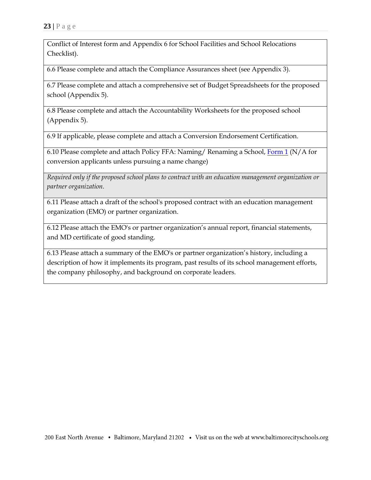Conflict of Interest form and Appendix 6 for School Facilities and School Relocations Checklist).

6.6 Please complete and attach the Compliance Assurances sheet (see Appendix 3).

6.7 Please complete and attach a comprehensive set of Budget Spreadsheets for the proposed school (Appendix 5).

6.8 Please complete and attach the Accountability Worksheets for the proposed school (Appendix 5).

6.9 If applicable, please complete and attach a Conversion Endorsement Certification.

6.10 Please complete and attach Policy FFA: Naming/ Renaming a School, [Form](https://go.boarddocs.com/mabe/bcpss/Board.nsf/files/AVDVW682AC99/$file/FFA%20-%20RA%20Form%201%20-%20School%20Renaming%20Request%20Form.pdf) 1 (N/A for conversion applicants unless pursuing a name change)

*Required only if the proposed school plans to contract with an education management organization or partner organization.*

6.11 Please attach a draft of the school's proposed contract with an education management organization (EMO) or partner organization.

6.12 Please attach the EMO's or partner organization's annual report, financial statements, and MD certificate of good standing.

6.13 Please attach a summary of the EMO's or partner organization's history, including a description of how it implements its program, past results of its school management efforts, the company philosophy, and background on corporate leaders.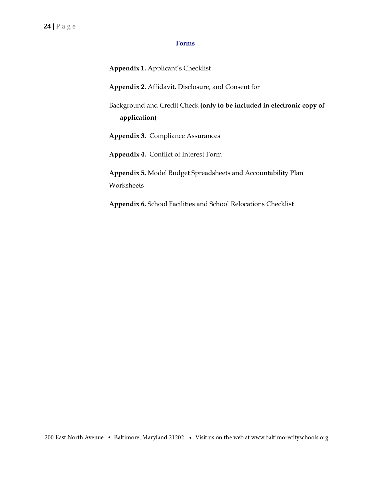#### **Forms**

**Appendix 1.** Applicant's Checklist

**Appendix 2.** Affidavit, Disclosure, and Consent for

Background and Credit Check **(only to be included in electronic copy of application)**

**Appendix 3.** Compliance Assurances

**Appendix 4.** Conflict of Interest Form

**Appendix 5.** Model Budget Spreadsheets and Accountability Plan **Worksheets** 

**Appendix 6.** School Facilities and School Relocations Checklist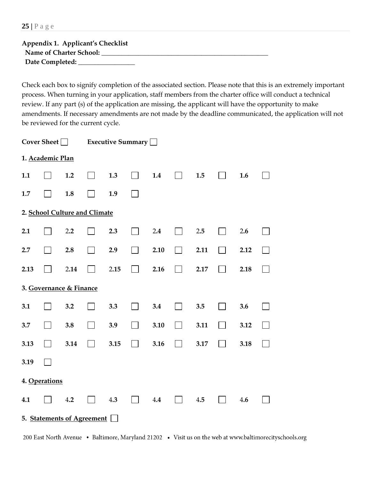**25 |** P a g e

| Appendix 1. Applicant's Checklist |  |
|-----------------------------------|--|
| Name of Charter School:           |  |
| Date Completed:                   |  |

Check each box to signify completion of the associated section. Please note that this is an extremely important process. When turning in your application, staff members from the charter office will conduct a technical review. If any part (s) of the application are missing, the applicant will have the opportunity to make amendments. If necessary amendments are not made by the deadline communicated, the application will not be reviewed for the current cycle.

| Cover Sheet $\Box$ |                               |      |  | Executive Summary |  |      |  |      |  |      |  |
|--------------------|-------------------------------|------|--|-------------------|--|------|--|------|--|------|--|
|                    | 1. Academic Plan              |      |  |                   |  |      |  |      |  |      |  |
| 1.1                |                               | 1.2  |  | 1.3               |  | 1.4  |  | 1.5  |  | 1.6  |  |
| 1.7                |                               | 1.8  |  | 1.9               |  |      |  |      |  |      |  |
|                    | 2. School Culture and Climate |      |  |                   |  |      |  |      |  |      |  |
| 2.1                |                               | 2.2  |  | 2.3               |  | 2.4  |  | 2.5  |  | 2.6  |  |
| 2.7                |                               | 2.8  |  | 2.9               |  | 2.10 |  | 2.11 |  | 2.12 |  |
| 2.13               |                               | 2.14 |  | 2.15              |  | 2.16 |  | 2.17 |  | 2.18 |  |
|                    | 3. Governance & Finance       |      |  |                   |  |      |  |      |  |      |  |
| 3.1                |                               | 3.2  |  | 3.3               |  | 3.4  |  | 3.5  |  | 3.6  |  |
| 3.7                |                               | 3.8  |  | 3.9               |  | 3.10 |  | 3.11 |  | 3.12 |  |
| 3.13               |                               | 3.14 |  | 3.15              |  | 3.16 |  | 3.17 |  | 3.18 |  |
| 3.19               |                               |      |  |                   |  |      |  |      |  |      |  |
|                    | 4. Operations                 |      |  |                   |  |      |  |      |  |      |  |
| 4.1                |                               | 4.2  |  | 4.3               |  | 4.4  |  | 4.5  |  | 4.6  |  |
|                    | 5. Statements of Agreement    |      |  |                   |  |      |  |      |  |      |  |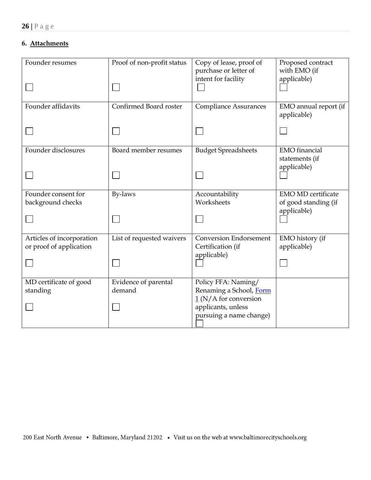# **6. Attachments**

| Founder resumes                                      | Proof of non-profit status | Copy of lease, proof of<br>purchase or letter of<br>intent for facility | Proposed contract<br>with EMO (if<br>applicable)                 |
|------------------------------------------------------|----------------------------|-------------------------------------------------------------------------|------------------------------------------------------------------|
| Founder affidavits                                   | Confirmed Board roster     | <b>Compliance Assurances</b>                                            | EMO annual report (if<br>applicable)                             |
|                                                      |                            |                                                                         |                                                                  |
| Founder disclosures                                  | Board member resumes       | <b>Budget Spreadsheets</b>                                              | <b>EMO</b> financial<br>statements (if                           |
|                                                      |                            |                                                                         | applicable)                                                      |
| Founder consent for<br>background checks             | By-laws                    | Accountability<br>Worksheets                                            | <b>EMO MD certificate</b><br>of good standing (if<br>applicable) |
|                                                      |                            |                                                                         |                                                                  |
| Articles of incorporation<br>or proof of application | List of requested waivers  | <b>Conversion Endorsement</b><br>Certification (if                      | EMO history (if<br>applicable)                                   |
|                                                      |                            | applicable)                                                             |                                                                  |
| MD certificate of good                               | Evidence of parental       | Policy FFA: Naming/                                                     |                                                                  |
| standing                                             | demand                     | Renaming a School, Form<br>$1(N/A)$ for conversion                      |                                                                  |
|                                                      |                            | applicants, unless                                                      |                                                                  |
|                                                      |                            | pursuing a name change)                                                 |                                                                  |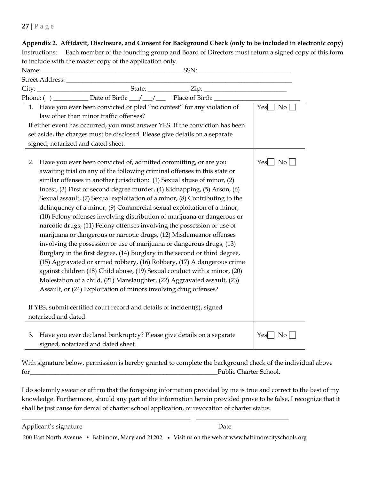| Appendix 2. Affidavit, Disclosure, and Consent for Background Check (only to be included in electronic copy)                                                                                                                                                                                                                                                                                                                                                                                                                                                                                                                                                                                                                                                                                                                                                                                                                                                                                                                                                                                                                                                                                                                                                          |                    |
|-----------------------------------------------------------------------------------------------------------------------------------------------------------------------------------------------------------------------------------------------------------------------------------------------------------------------------------------------------------------------------------------------------------------------------------------------------------------------------------------------------------------------------------------------------------------------------------------------------------------------------------------------------------------------------------------------------------------------------------------------------------------------------------------------------------------------------------------------------------------------------------------------------------------------------------------------------------------------------------------------------------------------------------------------------------------------------------------------------------------------------------------------------------------------------------------------------------------------------------------------------------------------|--------------------|
| Each member of the founding group and Board of Directors must return a signed copy of this form<br>Instructions:                                                                                                                                                                                                                                                                                                                                                                                                                                                                                                                                                                                                                                                                                                                                                                                                                                                                                                                                                                                                                                                                                                                                                      |                    |
| to include with the master copy of the application only.                                                                                                                                                                                                                                                                                                                                                                                                                                                                                                                                                                                                                                                                                                                                                                                                                                                                                                                                                                                                                                                                                                                                                                                                              |                    |
|                                                                                                                                                                                                                                                                                                                                                                                                                                                                                                                                                                                                                                                                                                                                                                                                                                                                                                                                                                                                                                                                                                                                                                                                                                                                       |                    |
|                                                                                                                                                                                                                                                                                                                                                                                                                                                                                                                                                                                                                                                                                                                                                                                                                                                                                                                                                                                                                                                                                                                                                                                                                                                                       |                    |
| Phone: () _____________ Date of Birth: ___/ ___/ _____ Place of Birth: __________                                                                                                                                                                                                                                                                                                                                                                                                                                                                                                                                                                                                                                                                                                                                                                                                                                                                                                                                                                                                                                                                                                                                                                                     |                    |
| 1. Have you ever been convicted or pled "no contest" for any violation of<br>law other than minor traffic offenses?                                                                                                                                                                                                                                                                                                                                                                                                                                                                                                                                                                                                                                                                                                                                                                                                                                                                                                                                                                                                                                                                                                                                                   | $Yes \Box No$      |
| If either event has occurred, you must answer YES. If the conviction has been<br>set aside, the charges must be disclosed. Please give details on a separate<br>signed, notarized and dated sheet.                                                                                                                                                                                                                                                                                                                                                                                                                                                                                                                                                                                                                                                                                                                                                                                                                                                                                                                                                                                                                                                                    |                    |
| Have you ever been convicted of, admitted committing, or are you<br>2.<br>awaiting trial on any of the following criminal offenses in this state or<br>similar offenses in another jurisdiction: (1) Sexual abuse of minor, (2)<br>Incest, (3) First or second degree murder, (4) Kidnapping, (5) Arson, (6)<br>Sexual assault, (7) Sexual exploitation of a minor, (8) Contributing to the<br>delinquency of a minor, (9) Commercial sexual exploitation of a minor,<br>(10) Felony offenses involving distribution of marijuana or dangerous or<br>narcotic drugs, (11) Felony offenses involving the possession or use of<br>marijuana or dangerous or narcotic drugs, (12) Misdemeanor offenses<br>involving the possession or use of marijuana or dangerous drugs, (13)<br>Burglary in the first degree, (14) Burglary in the second or third degree,<br>(15) Aggravated or armed robbery, (16) Robbery, (17) A dangerous crime<br>against children (18) Child abuse, (19) Sexual conduct with a minor, (20)<br>Molestation of a child, (21) Manslaughter, (22) Aggravated assault, (23)<br>Assault, or (24) Exploitation of minors involving drug offenses?<br>If YES, submit certified court record and details of incident(s), signed<br>notarized and dated. | $Yes \nNo$         |
| Have you ever declared bankruptcy? Please give details on a separate<br>3.<br>signed, notarized and dated sheet.                                                                                                                                                                                                                                                                                                                                                                                                                                                                                                                                                                                                                                                                                                                                                                                                                                                                                                                                                                                                                                                                                                                                                      | $Yes \Box No \Box$ |

With signature below, permission is hereby granted to complete the background check of the individual above for\_\_\_\_\_\_\_\_\_\_\_\_\_\_\_\_\_\_\_\_\_\_\_\_\_\_\_\_\_\_\_\_\_\_\_\_\_\_\_\_\_\_\_\_\_\_\_\_\_\_\_\_\_\_\_\_\_\_\_Public Charter School.

I do solemnly swear or affirm that the foregoing information provided by me is true and correct to the best of my knowledge. Furthermore, should any part of the information herein provided prove to be false, I recognize that it shall be just cause for denial of charter school application, or revocation of charter status.

\_\_\_\_\_\_\_\_\_\_\_\_\_\_\_\_\_\_\_\_\_\_\_\_\_\_\_\_\_\_\_\_\_\_\_\_\_\_\_\_\_\_\_\_\_\_\_\_\_\_\_\_\_ \_\_\_\_\_\_\_\_\_\_\_\_\_\_\_\_\_\_\_\_\_\_\_\_\_\_\_\_\_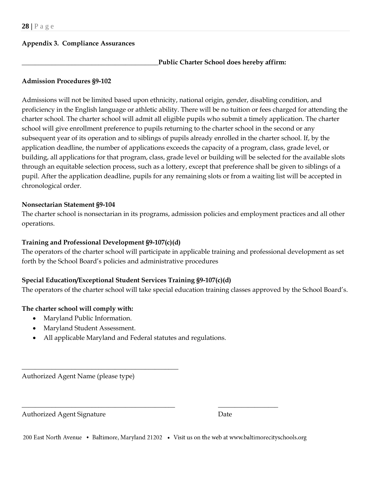## **Appendix 3. Compliance Assurances**

### **\_\_\_\_\_\_\_\_\_\_\_\_\_\_\_\_\_\_\_\_\_\_\_\_\_\_\_\_\_\_\_\_\_\_\_\_\_\_\_\_\_Public Charter School does hereby affirm:**

#### **Admission Procedures §9-102**

Admissions will not be limited based upon ethnicity, national origin, gender, disabling condition, and proficiency in the English language or athletic ability. There will be no tuition or fees charged for attending the charter school. The charter school will admit all eligible pupils who submit a timely application. The charter school will give enrollment preference to pupils returning to the charter school in the second or any subsequent year of its operation and to siblings of pupils already enrolled in the charter school. If, by the application deadline, the number of applications exceeds the capacity of a program, class, grade level, or building, all applications for that program, class, grade level or building will be selected for the available slots through an equitable selection process, such as a lottery, except that preference shall be given to siblings of a pupil. After the application deadline, pupils for any remaining slots or from a waiting list will be accepted in chronological order.

#### **Nonsectarian Statement §9-104**

The charter school is nonsectarian in its programs, admission policies and employment practices and all other operations.

## **Training and Professional Development §9-107(c)(d)**

The operators of the charter school will participate in applicable training and professional development as set forth by the School Board's policies and administrative procedures

## **Special Education/Exceptional Student Services Training §9-107(c)(d)**

The operators of the charter school will take special education training classes approved by the School Board's.

# **The charter school will comply with:**

- Maryland Public Information.
- Maryland Student Assessment.

\_\_\_\_\_\_\_\_\_\_\_\_\_\_\_\_\_\_\_\_\_\_\_\_\_\_\_\_\_\_\_\_\_\_\_\_\_\_\_\_\_\_\_\_\_\_\_

• All applicable Maryland and Federal statutes and regulations.

Authorized Agent Name (please type)

Authorized Agent Signature **Date** Date

|  |  |  |  | 200 East North Avenue • Baltimore, Maryland 21202 • Visit us on the web at www.baltimorecityschools.org |  |  |
|--|--|--|--|---------------------------------------------------------------------------------------------------------|--|--|
|--|--|--|--|---------------------------------------------------------------------------------------------------------|--|--|

\_\_\_\_\_\_\_\_\_\_\_\_\_\_\_\_\_\_\_\_\_\_\_\_\_\_\_\_\_\_\_\_\_\_\_\_\_\_\_\_\_\_\_\_\_\_ \_\_\_\_\_\_\_\_\_\_\_\_\_\_\_\_\_\_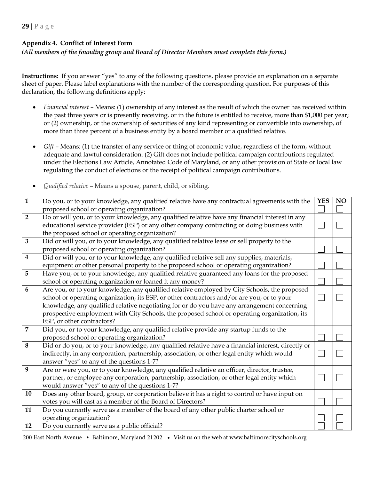## **Appendix 4. Conflict of Interest Form**

### *(All members of the founding group and Board of Director Members must complete this form.)*

**Instructions:** If you answer "yes" to any of the following questions, please provide an explanation on a separate sheet of paper. Please label explanations with the number of the corresponding question. For purposes of this declaration, the following definitions apply:

- *Financial interest* Means: (1) ownership of any interest as the result of which the owner has received within the past three years or is presently receiving, or in the future is entitled to receive, more than \$1,000 per year; or (2) ownership, or the ownership of securities of any kind representing or convertible into ownership, of more than three percent of a business entity by a board member or a qualified relative.
- *Gift* Means: (1) the transfer of any service or thing of economic value, regardless of the form, without adequate and lawful consideration. (2) Gift does not include political campaign contributions regulated under the Elections Law Article, Annotated Code of Maryland, or any other provision of State or local law regulating the conduct of elections or the receipt of political campaign contributions.
- *Qualified relative* Means a spouse, parent, child, or sibling.

| $\overline{1}$ | Do you, or to your knowledge, any qualified relative have any contractual agreements with the<br>proposed school or operating organization?                                                                                                     | <b>YES</b> | NO |
|----------------|-------------------------------------------------------------------------------------------------------------------------------------------------------------------------------------------------------------------------------------------------|------------|----|
| $\overline{2}$ | Do or will you, or to your knowledge, any qualified relative have any financial interest in any<br>educational service provider (ESP) or any other company contracting or doing business with<br>the proposed school or operating organization? |            |    |
| 3              | Did or will you, or to your knowledge, any qualified relative lease or sell property to the                                                                                                                                                     |            |    |
|                | proposed school or operating organization?                                                                                                                                                                                                      |            |    |
| 4              | Did or will you, or to your knowledge, any qualified relative sell any supplies, materials,                                                                                                                                                     |            |    |
|                | equipment or other personal property to the proposed school or operating organization?                                                                                                                                                          |            |    |
| 5              | Have you, or to your knowledge, any qualified relative guaranteed any loans for the proposed                                                                                                                                                    |            |    |
|                | school or operating organization or loaned it any money?                                                                                                                                                                                        |            |    |
| 6              | Are you, or to your knowledge, any qualified relative employed by City Schools, the proposed                                                                                                                                                    |            |    |
|                | school or operating organization, its ESP, or other contractors and/or are you, or to your                                                                                                                                                      |            |    |
|                | knowledge, any qualified relative negotiating for or do you have any arrangement concerning                                                                                                                                                     |            |    |
|                | prospective employment with City Schools, the proposed school or operating organization, its                                                                                                                                                    |            |    |
|                | ESP, or other contractors?                                                                                                                                                                                                                      |            |    |
| 7              | Did you, or to your knowledge, any qualified relative provide any startup funds to the                                                                                                                                                          |            |    |
|                | proposed school or operating organization?                                                                                                                                                                                                      |            |    |
| 8              | Did or do you, or to your knowledge, any qualified relative have a financial interest, directly or                                                                                                                                              |            |    |
|                | indirectly, in any corporation, partnership, association, or other legal entity which would                                                                                                                                                     |            |    |
|                | answer "yes" to any of the questions 1-7?                                                                                                                                                                                                       |            |    |
| 9              | Are or were you, or to your knowledge, any qualified relative an officer, director, trustee,                                                                                                                                                    |            |    |
|                | partner, or employee any corporation, partnership, association, or other legal entity which                                                                                                                                                     |            |    |
|                | would answer "yes" to any of the questions 1-7?                                                                                                                                                                                                 |            |    |
| 10             | Does any other board, group, or corporation believe it has a right to control or have input on                                                                                                                                                  |            |    |
|                | votes you will cast as a member of the Board of Directors?                                                                                                                                                                                      |            |    |
| 11             | Do you currently serve as a member of the board of any other public charter school or                                                                                                                                                           |            |    |
|                | operating organization?                                                                                                                                                                                                                         |            |    |
| 12             | Do you currently serve as a public official?                                                                                                                                                                                                    |            |    |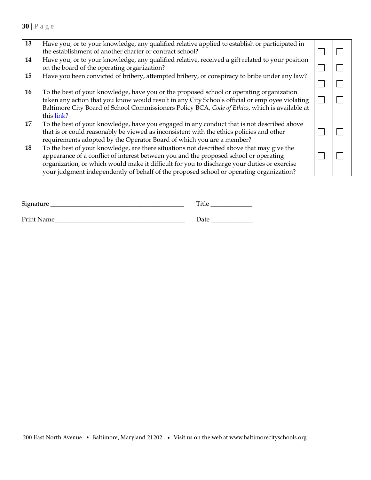| 13 | Have you, or to your knowledge, any qualified relative applied to establish or participated in<br>the establishment of another charter or contract school?                                                                                                                                                                                                                   |  |
|----|------------------------------------------------------------------------------------------------------------------------------------------------------------------------------------------------------------------------------------------------------------------------------------------------------------------------------------------------------------------------------|--|
| 14 | Have you, or to your knowledge, any qualified relative, received a gift related to your position<br>on the board of the operating organization?                                                                                                                                                                                                                              |  |
| 15 | Have you been convicted of bribery, attempted bribery, or conspiracy to bribe under any law?                                                                                                                                                                                                                                                                                 |  |
| 16 | To the best of your knowledge, have you or the proposed school or operating organization<br>taken any action that you know would result in any City Schools official or employee violating<br>Baltimore City Board of School Commissioners Policy BCA, Code of Ethics, which is available at<br>this link?                                                                   |  |
| 17 | To the best of your knowledge, have you engaged in any conduct that is not described above<br>that is or could reasonably be viewed as inconsistent with the ethics policies and other<br>requirements adopted by the Operator Board of which you are a member?                                                                                                              |  |
| 18 | To the best of your knowledge, are there situations not described above that may give the<br>appearance of a conflict of interest between you and the proposed school or operating<br>organization, or which would make it difficult for you to discharge your duties or exercise<br>your judgment independently of behalf of the proposed school or operating organization? |  |

| Signature  | Title |
|------------|-------|
| Print Name | Date  |

| 200 East North Avenue • Baltimore, Maryland 21202 • Visit us on the web at www.baltimorecityschools.org |  |  |  |  |  |  |  |  |  |  |  |  |  |
|---------------------------------------------------------------------------------------------------------|--|--|--|--|--|--|--|--|--|--|--|--|--|
|---------------------------------------------------------------------------------------------------------|--|--|--|--|--|--|--|--|--|--|--|--|--|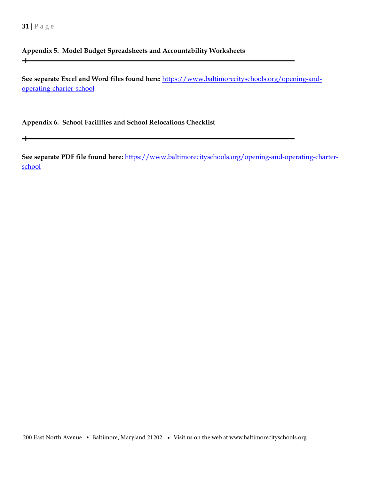$+$ 

 $\div$ 

# **Appendix 5. Model Budget Spreadsheets and Accountability Worksheets**

**See separate Excel and Word files found here:** [https://www.baltimorecityschools.org/opening-and](https://www.baltimorecityschools.org/opening-and-operating-charter-school)[operating-charter-school](https://www.baltimorecityschools.org/opening-and-operating-charter-school)

**Appendix 6. School Facilities and School Relocations Checklist**

**See separate PDF file found here:** [https://www.baltimorecityschools.org/opening-and-operating-charter](https://www.baltimorecityschools.org/opening-and-operating-charter-school)[school](https://www.baltimorecityschools.org/opening-and-operating-charter-school)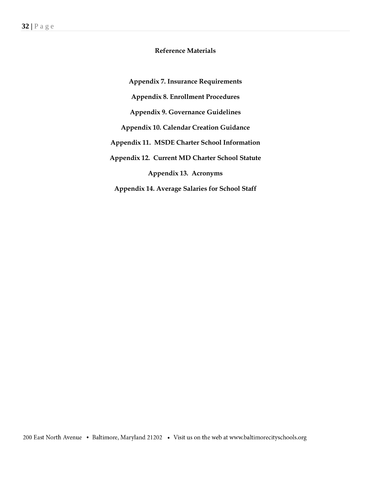## **Reference Materials**

**Appendix 7. Insurance Requirements Appendix 8. Enrollment Procedures Appendix 9. Governance Guidelines Appendix 10. Calendar Creation Guidance Appendix 11. MSDE Charter School Information Appendix 12. Current MD Charter School Statute Appendix 13. Acronyms Appendix 14. Average Salaries for School Staff**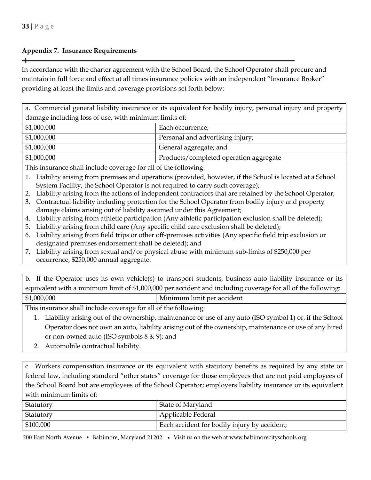┿

## **Appendix 7. Insurance Requirements**

In accordance with the charter agreement with the School Board, the School Operator shall procure and maintain in full force and effect at all times insurance policies with an independent "Insurance Broker" providing at least the limits and coverage provisions set forth below:

a. Commercial general liability insurance or its equivalent for bodily injury, personal injury and property damage including loss of use, with minimum limits of:

| $\mid$ \$1,000,000 | Each occurrence;                       |
|--------------------|----------------------------------------|
| $\mid$ \$1,000,000 | Personal and advertising injury;       |
| $\mid$ \$1,000,000 | General aggregate; and                 |
| $\mid$ \$1,000,000 | Products/completed operation aggregate |

This insurance shall include coverage for all of the following:

- 1. Liability arising from premises and operations (provided, however, if the School is located at a School System Facility, the School Operator is not required to carry such coverage);
- 2. Liability arising from the actions of independent contractors that are retained by the School Operator;
- 3. Contractual liability including protection for the School Operator from bodily injury and property damage claims arising out of liability assumed under this Agreement;
- 4. Liability arising from athletic participation (Any athletic participation exclusion shall be deleted);
- 5. Liability arising from child care (Any specific child care exclusion shall be deleted);
- 6. Liability arising from field trips or other off-premises activities (Any specific field trip exclusion or designated premises endorsement shall be deleted); and
- 7. Liability arising from sexual and/or physical abuse with minimum sub-limits of \$250,000 per occurrence, \$250,000 annual aggregate.

|             | b. If the Operator uses its own vehicle(s) to transport students, business auto liability insurance or its   |
|-------------|--------------------------------------------------------------------------------------------------------------|
|             | equivalent with a minimum limit of \$1,000,000 per accident and including coverage for all of the following: |
| \$1,000,000 | Minimum limit per accident                                                                                   |

This insurance shall include coverage for all of the following:

- 1. Liability arising out of the ownership, maintenance or use of any auto (ISO symbol 1) or, if the School Operator does not own an auto, liability arising out of the ownership, maintenance or use of any hired or non-owned auto (ISO symbols 8 & 9); and
- 2. Automobile contractual liability.

c. Workers compensation insurance or its equivalent with statutory benefits as required by any state or federal law, including standard "other states" coverage for those employees that are not paid employees of the School Board but are employees of the School Operator; employers liability insurance or its equivalent with minimum limits of:

| Statutory               | State of Maryland                            |
|-------------------------|----------------------------------------------|
| Statutory               | Applicable Federal                           |
| $\frac{1}{2}$ \$100,000 | Each accident for bodily injury by accident; |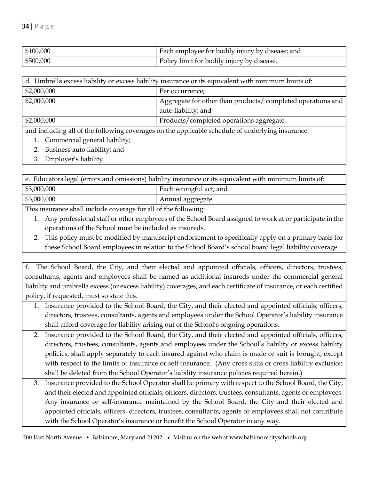| \$100,000 | Each employee for bodily injury by disease; and |
|-----------|-------------------------------------------------|
| \$500,000 | Policy limit for bodily injury by disease.      |

| d. Umbrella excess liability or excess liability insurance or its equivalent with minimum limits of: |                                                                                   |  |
|------------------------------------------------------------------------------------------------------|-----------------------------------------------------------------------------------|--|
| \$2,000,000                                                                                          | Per occurrence;                                                                   |  |
| \$2,000,000                                                                                          | Aggregate for other than products/completed operations and<br>auto liability; and |  |
| \$2,000,000                                                                                          | Products/completed operations aggregate                                           |  |

and including all of the following coverages on the applicable schedule of underlying insurance:

- 1. Commercial general liability;
- 2. Business auto liability; and
- 3. Employer's liability.

| e. Educators legal (errors and omissions) liability insurance or its equivalent with minimum limits of: |                        |  |
|---------------------------------------------------------------------------------------------------------|------------------------|--|
| \$3,000,000                                                                                             | Each wrongful act; and |  |
| \$3,000,000                                                                                             | Annual aggregate.      |  |

This insurance shall include coverage for all of the following:

- 1. Any professional staff or other employees of the School Board assigned to work at or participate in the operations of the School must be included as insureds.
- 2. This policy must be modified by manuscript endorsement to specifically apply on a primary basis for these School Board employees in relation to the School Board's school board legal liability coverage.

f. The School Board, the City, and their elected and appointed officials, officers, directors, trustees, consultants, agents and employees shall be named as additional insureds under the commercial general liability and umbrella excess (or excess liability) coverages, and each certificate of insurance, or each certified policy, if requested, must so state this.

- 1. Insurance provided to the School Board, the City, and their elected and appointed officials, officers, directors, trustees, consultants, agents and employees under the School Operator's liability insurance shall afford coverage for liability arising out of the School's ongoing operations.
- 2. Insurance provided to the School Board, the City, and their elected and appointed officials, officers, directors, trustees, consultants, agents and employees under the School's liability or excess liability policies, shall apply separately to each insured against who claim is made or suit is brought, except with respect to the limits of insurance or self-insurance. (Any cross suits or cross liability exclusion shall be deleted from the School Operator's liability insurance policies required herein.)
- 3. Insurance provided to the School Operator shall be primary with respect to the School Board, the City, and their elected and appointed officials, officers, directors, trustees, consultants, agents or employees. Any insurance or self-insurance maintained by the School Board, the City and their elected and appointed officials, officers, directors, trustees, consultants, agents or employees shall not contribute with the School Operator's insurance or benefit the School Operator in any way.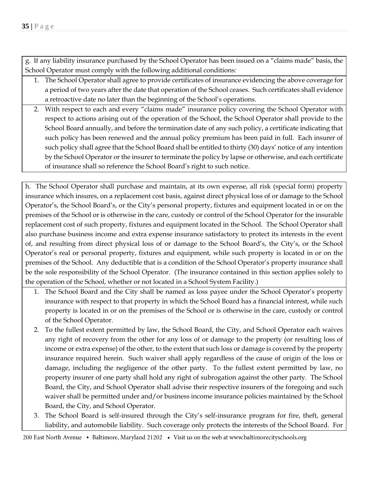g. If any liability insurance purchased by the School Operator has been issued on a "claims made" basis, the School Operator must comply with the following additional conditions:

- 1. The School Operator shall agree to provide certificates of insurance evidencing the above coverage for a period of two years after the date that operation of the School ceases. Such certificates shall evidence a retroactive date no later than the beginning of the School's operations.
- 2. With respect to each and every "claims made" insurance policy covering the School Operator with respect to actions arising out of the operation of the School, the School Operator shall provide to the School Board annually, and before the termination date of any such policy, a certificate indicating that such policy has been renewed and the annual policy premium has been paid in full. Each insurer of such policy shall agree that the School Board shall be entitled to thirty (30) days' notice of any intention by the School Operator or the insurer to terminate the policy by lapse or otherwise, and each certificate of insurance shall so reference the School Board's right to such notice.

h. The School Operator shall purchase and maintain, at its own expense, all risk (special form) property insurance which insures, on a replacement cost basis, against direct physical loss of or damage to the School Operator's, the School Board's, or the City's personal property, fixtures and equipment located in or on the premises of the School or is otherwise in the care, custody or control of the School Operator for the insurable replacement cost of such property, fixtures and equipment located in the School. The School Operator shall also purchase business income and extra expense insurance satisfactory to protect its interests in the event of, and resulting from direct physical loss of or damage to the School Board's, the City's, or the School Operator's real or personal property, fixtures and equipment, while such property is located in or on the premises of the School. Any deductible that is a condition of the School Operator's property insurance shall be the sole responsibility of the School Operator. (The insurance contained in this section applies solely to the operation of the School, whether or not located in a School System Facility.)

- 1. The School Board and the City shall be named as loss payee under the School Operator's property insurance with respect to that property in which the School Board has a financial interest, while such property is located in or on the premises of the School or is otherwise in the care, custody or control of the School Operator.
- 2. To the fullest extent permitted by law, the School Board, the City, and School Operator each waives any right of recovery from the other for any loss of or damage to the property (or resulting loss of income or extra expense) of the other, to the extent that such loss or damage is covered by the property insurance required herein. Such waiver shall apply regardless of the cause of origin of the loss or damage, including the negligence of the other party. To the fullest extent permitted by law, no property insurer of one party shall hold any right of subrogation against the other party. The School Board, the City, and School Operator shall advise their respective insurers of the foregoing and such waiver shall be permitted under and/or business income insurance policies maintained by the School Board, the City, and School Operator.
- 3. The School Board is self-insured through the City's self-insurance program for fire, theft, general liability, and automobile liability. Such coverage only protects the interests of the School Board. For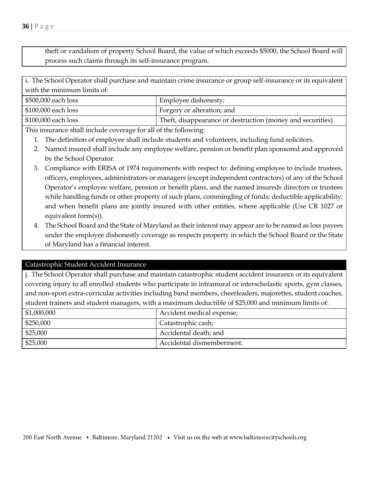4. The School Board and the State of Maryland as their interest may appear are to be named as loss payees under the employee dishonestly coverage as respects property in which the School Board or the State of Maryland has a financial interest.

covering injury to all enrolled students who participate in intramural or interscholastic sports, gym classes, and non-sport extra-curricular activities including band members, cheerleaders, majorettes, student coaches, student trainers and student managers, with a maximum deductible of \$25,000 and minimum limits of:

| \$1,000,000 | Accident medical expense; |
|-------------|---------------------------|
| \$250,000   | Catastrophic cash;        |
| \$25,000    | Accidental death; and     |
| \$25,000    | Accidental dismemberment. |

theft or vandalism of property School Board, the value of which exceeds \$5000, the School Board will process such claims through its self-insurance program.

i. The School Operator shall purchase and maintain crime insurance or group self-insurance or its equivalent with the minimum limits of:

| \$500,000 each loss | Employee dishonesty;                                       |
|---------------------|------------------------------------------------------------|
| \$100,000 each loss | Forgery or alteration; and                                 |
| \$100,000 each loss | Theft, disappearance or destruction (money and securities) |

This insurance shall include coverage for all of the following:

- 1. The definition of employee shall include students and volunteers, including fund solicitors.
- 2. Named insured shall include any employee welfare, pension or benefit plan sponsored and approved by the School Operator.
- 3. Compliance with ERISA of 1974 requirements with respect to: defining employee to include trustees, officers, employees, administrators or managers (except independent contractors) of any of the School Operator's employee welfare, pension or benefit plans, and the named insureds directors or trustees while handling funds or other property of such plans, commingling of funds; deductible applicability; and when benefit plans are jointly insured with other entities, where applicable (Use CR 1027 or equivalent form(s)).

Catastrophic Student Accident Insurance j. The School Operator shall purchase and maintain catastrophic student accident insurance or its equivalent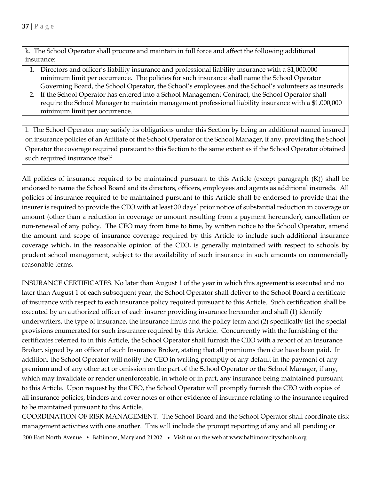k. The School Operator shall procure and maintain in full force and affect the following additional insurance:

- 1. Directors and officer's liability insurance and professional liability insurance with a \$1,000,000 minimum limit per occurrence. The policies for such insurance shall name the School Operator Governing Board, the School Operator, the School's employees and the School's volunteers as insureds.
- 2. If the School Operator has entered into a School Management Contract, the School Operator shall require the School Manager to maintain management professional liability insurance with a \$1,000,000 minimum limit per occurrence.

l. The School Operator may satisfy its obligations under this Section by being an additional named insured on insurance policies of an Affiliate of the School Operator or the School Manager, if any, providing the School Operator the coverage required pursuant to this Section to the same extent as if the School Operator obtained such required insurance itself.

All policies of insurance required to be maintained pursuant to this Article (except paragraph (K)) shall be endorsed to name the School Board and its directors, officers, employees and agents as additional insureds. All policies of insurance required to be maintained pursuant to this Article shall be endorsed to provide that the insurer is required to provide the CEO with at least 30 days' prior notice of substantial reduction in coverage or amount (other than a reduction in coverage or amount resulting from a payment hereunder), cancellation or non-renewal of any policy. The CEO may from time to time, by written notice to the School Operator, amend the amount and scope of insurance coverage required by this Article to include such additional insurance coverage which, in the reasonable opinion of the CEO, is generally maintained with respect to schools by prudent school management, subject to the availability of such insurance in such amounts on commercially reasonable terms.

INSURANCE CERTIFICATES. No later than August 1 of the year in which this agreement is executed and no later than August 1 of each subsequent year, the School Operator shall deliver to the School Board a certificate of insurance with respect to each insurance policy required pursuant to this Article. Such certification shall be executed by an authorized officer of each insurer providing insurance hereunder and shall (1) identify underwriters, the type of insurance, the insurance limits and the policy term and (2) specifically list the special provisions enumerated for such insurance required by this Article. Concurrently with the furnishing of the certificates referred to in this Article, the School Operator shall furnish the CEO with a report of an Insurance Broker, signed by an officer of such Insurance Broker, stating that all premiums then due have been paid. In addition, the School Operator will notify the CEO in writing promptly of any default in the payment of any premium and of any other act or omission on the part of the School Operator or the School Manager, if any, which may invalidate or render unenforceable, in whole or in part, any insurance being maintained pursuant to this Article. Upon request by the CEO, the School Operator will promptly furnish the CEO with copies of all insurance policies, binders and cover notes or other evidence of insurance relating to the insurance required to be maintained pursuant to this Article.

COORDINATION OF RISK MANAGEMENT. The School Board and the School Operator shall coordinate risk management activities with one another. This will include the prompt reporting of any and all pending or 200 East North Avenue • Baltimore, Maryland 21202 • Visit us on the web at www.baltimorecityschools.org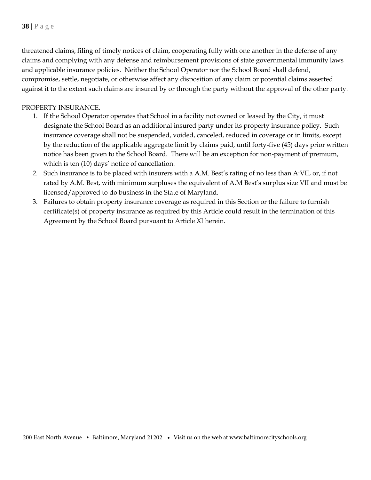threatened claims, filing of timely notices of claim, cooperating fully with one another in the defense of any claims and complying with any defense and reimbursement provisions of state governmental immunity laws and applicable insurance policies. Neither the School Operator nor the School Board shall defend, compromise, settle, negotiate, or otherwise affect any disposition of any claim or potential claims asserted against it to the extent such claims are insured by or through the party without the approval of the other party.

## PROPERTY INSURANCE.

- 1. If the School Operator operates that School in a facility not owned or leased by the City, it must designate the School Board as an additional insured party under its property insurance policy. Such insurance coverage shall not be suspended, voided, canceled, reduced in coverage or in limits, except by the reduction of the applicable aggregate limit by claims paid, until forty-five (45) days prior written notice has been given to the School Board. There will be an exception for non-payment of premium, which is ten (10) days' notice of cancellation.
- 2. Such insurance is to be placed with insurers with a A.M. Best's rating of no less than A:VII, or, if not rated by A.M. Best, with minimum surpluses the equivalent of A.M Best's surplus size VII and must be licensed/approved to do business in the State of Maryland.
- 3. Failures to obtain property insurance coverage as required in this Section or the failure to furnish certificate(s) of property insurance as required by this Article could result in the termination of this Agreement by the School Board pursuant to Article XI herein.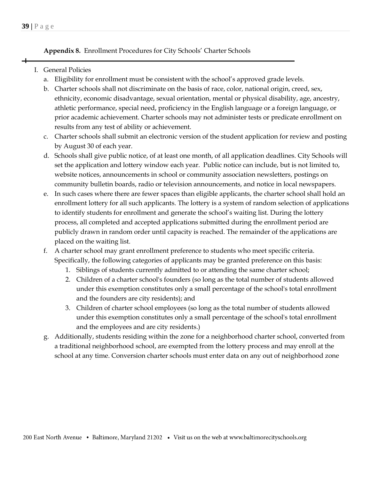**Appendix 8.** Enrollment Procedures for City Schools' Charter Schools

# I. General Policies

- a. Eligibility for enrollment must be consistent with the school's approved grade levels.
- b. Charter schools shall not discriminate on the basis of race, color, national origin, creed, sex, ethnicity, economic disadvantage, sexual orientation, mental or physical disability, age, ancestry, athletic performance, special need, proficiency in the English language or a foreign language, or prior academic achievement. Charter schools may not administer tests or predicate enrollment on results from any test of ability or achievement.
- c. Charter schools shall submit an electronic version of the student application for review and posting by August 30 of each year.
- d. Schools shall give public notice, of at least one month, of all application deadlines. City Schools will set the application and lottery window each year. Public notice can include, but is not limited to, website notices, announcements in school or community association newsletters, postings on community bulletin boards, radio or television announcements, and notice in local newspapers.
- e. In such cases where there are fewer spaces than eligible applicants, the charter school shall hold an enrollment lottery for all such applicants. The lottery is a system of random selection of applications to identify students for enrollment and generate the school's waiting list. During the lottery process, all completed and accepted applications submitted during the enrollment period are publicly drawn in random order until capacity is reached. The remainder of the applications are placed on the waiting list.
- f. A charter school may grant enrollment preference to students who meet specific criteria. Specifically, the following categories of applicants may be granted preference on this basis:
	- 1. Siblings of students currently admitted to or attending the same charter school;
	- 2. Children of a charter school's founders (so long as the total number of students allowed under this exemption constitutes only a small percentage of the school's total enrollment and the founders are city residents); and
	- 3. Children of charter school employees (so long as the total number of students allowed under this exemption constitutes only a small percentage of the school's total enrollment and the employees and are city residents.)
- g. Additionally, students residing within the zone for a neighborhood charter school, converted from a traditional neighborhood school, are exempted from the lottery process and may enroll at the school at any time. Conversion charter schools must enter data on any out of neighborhood zone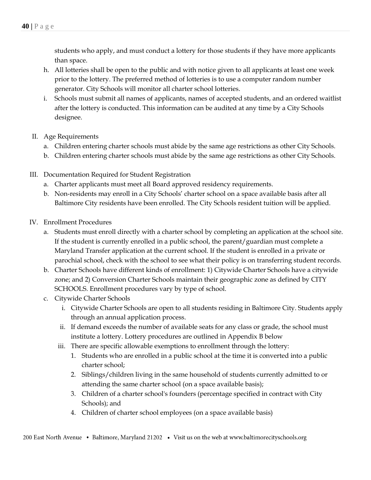students who apply, and must conduct a lottery for those students if they have more applicants than space.

- h. All lotteries shall be open to the public and with notice given to all applicants at least one week prior to the lottery. The preferred method of lotteries is to use a computer random number generator. City Schools will monitor all charter school lotteries.
- i. Schools must submit all names of applicants, names of accepted students, and an ordered waitlist after the lottery is conducted. This information can be audited at any time by a City Schools designee.
- II. Age Requirements
	- a. Children entering charter schools must abide by the same age restrictions as other City Schools.
	- b. Children entering charter schools must abide by the same age restrictions as other City Schools.
- III. Documentation Required for Student Registration
	- a. Charter applicants must meet all Board approved residency requirements.
	- b. Non-residents may enroll in a City Schools' charter school on a space available basis after all Baltimore City residents have been enrolled. The City Schools resident tuition will be applied.
- IV. Enrollment Procedures
	- a. Students must enroll directly with a charter school by completing an application at the school site. If the student is currently enrolled in a public school, the parent/guardian must complete a Maryland Transfer application at the current school. If the student is enrolled in a private or parochial school, check with the school to see what their policy is on transferring student records.
	- b. Charter Schools have different kinds of enrollment: 1) Citywide Charter Schools have a citywide zone; and 2) Conversion Charter Schools maintain their geographic zone as defined by CITY SCHOOLS. Enrollment procedures vary by type of school.
	- c. Citywide Charter Schools
		- i. Citywide Charter Schools are open to all students residing in Baltimore City. Students apply through an annual application process.
		- ii. If demand exceeds the number of available seats for any class or grade, the school must institute a lottery. Lottery procedures are outlined in Appendix B below
		- iii. There are specific allowable exemptions to enrollment through the lottery:
			- 1. Students who are enrolled in a public school at the time it is converted into a public charter school;
			- 2. Siblings/children living in the same household of students currently admitted to or attending the same charter school (on a space available basis);
			- 3. Children of a charter school's founders (percentage specified in contract with City Schools); and
			- 4. Children of charter school employees (on a space available basis)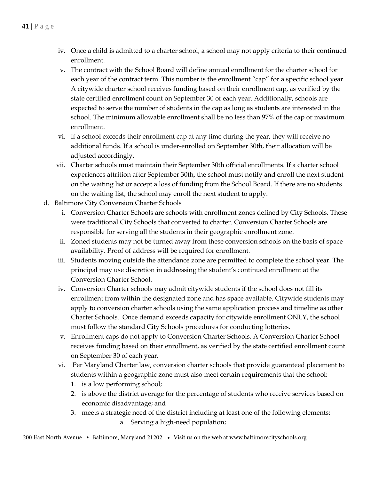- iv. Once a child is admitted to a charter school, a school may not apply criteria to their continued enrollment.
- v. The contract with the School Board will define annual enrollment for the charter school for each year of the contract term. This number is the enrollment "cap" for a specific school year. A citywide charter school receives funding based on their enrollment cap, as verified by the state certified enrollment count on September 30 of each year. Additionally, schools are expected to serve the number of students in the cap as long as students are interested in the school. The minimum allowable enrollment shall be no less than 97% of the cap or maximum enrollment.
- vi. If a school exceeds their enrollment cap at any time during the year, they will receive no additional funds. If a school is under-enrolled on September 30th, their allocation will be adjusted accordingly.
- vii. Charter schools must maintain their September 30th official enrollments. If a charter school experiences attrition after September 30th, the school must notify and enroll the next student on the waiting list or accept a loss of funding from the School Board. If there are no students on the waiting list, the school may enroll the next student to apply.
- d. Baltimore City Conversion Charter Schools
	- i. Conversion Charter Schools are schools with enrollment zones defined by City Schools. These were traditional City Schools that converted to charter. Conversion Charter Schools are responsible for serving all the students in their geographic enrollment zone.
	- ii. Zoned students may not be turned away from these conversion schools on the basis of space availability. Proof of address will be required for enrollment.
	- iii. Students moving outside the attendance zone are permitted to complete the school year. The principal may use discretion in addressing the student's continued enrollment at the Conversion Charter School.
	- iv. Conversion Charter schools may admit citywide students if the school does not fill its enrollment from within the designated zone and has space available. Citywide students may apply to conversion charter schools using the same application process and timeline as other Charter Schools. Once demand exceeds capacity for citywide enrollment ONLY, the school must follow the standard City Schools procedures for conducting lotteries.
	- v. Enrollment caps do not apply to Conversion Charter Schools. A Conversion Charter School receives funding based on their enrollment, as verified by the state certified enrollment count on September 30 of each year.
	- vi. Per Maryland Charter law, conversion charter schools that provide guaranteed placement to students within a geographic zone must also meet certain requirements that the school:
		- 1. is a low performing school;
		- 2. is above the district average for the percentage of students who receive services based on economic disadvantage; and
		- 3. meets a strategic need of the district including at least one of the following elements: a. Serving a high-need population;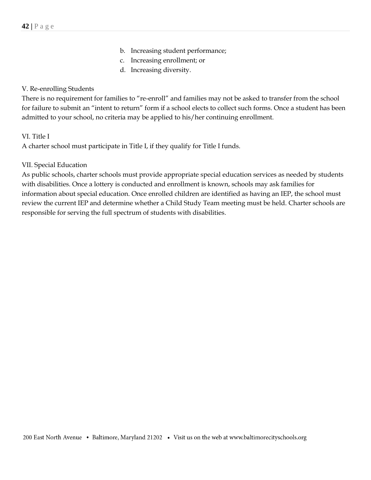- b. Increasing student performance;
- c. Increasing enrollment; or
- d. Increasing diversity.

## V. Re-enrolling Students

There is no requirement for families to "re-enroll" and families may not be asked to transfer from the school for failure to submit an "intent to return" form if a school elects to collect such forms. Once a student has been admitted to your school, no criteria may be applied to his/her continuing enrollment.

## VI. Title I

A charter school must participate in Title I, if they qualify for Title I funds.

## VII. Special Education

As public schools, charter schools must provide appropriate special education services as needed by students with disabilities. Once a lottery is conducted and enrollment is known, schools may ask families for information about special education. Once enrolled children are identified as having an IEP, the school must review the current IEP and determine whether a Child Study Team meeting must be held. Charter schools are responsible for serving the full spectrum of students with disabilities.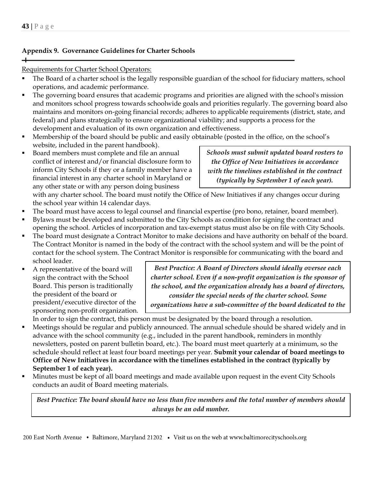$\overline{\phantom{0}}$ 

# **Appendix 9. Governance Guidelines for Charter Schools**

## Requirements for Charter School Operators:

- The Board of a charter school is the legally responsible guardian of the school for fiduciary matters, school operations, and academic performance.
- **•** The governing board ensures that academic programs and priorities are aligned with the school's mission and monitors school progress towards schoolwide goals and priorities regularly. The governing board also maintains and monitors on-going financial records; adheres to applicable requirements (district, state, and federal) and plans strategically to ensure organizational viability; and supports a process for the development and evaluation of its own organization and effectiveness.
- Membership of the board should be public and easily obtainable (posted in the office, on the school's website, included in the parent handbook).
- Board members must complete and file an annual conflict of interest and/or financial disclosure form to inform City Schools if they or a family member have a financial interest in any charter school in Maryland or any other state or with any person doing business

*Schools must submit updated board rosters to the Office of New Initiatives in accordance with the timelines established in the contract (typically by September 1 of each year).* 

with any charter school. The board must notify the Office of New Initiatives if any changes occur during the school year within 14 calendar days.

- The board must have access to legal counsel and financial expertise (pro bono, retainer, board member).
- Bylaws must be developed and submitted to the City Schools as condition for signing the contract and opening the school. Articles of incorporation and tax-exempt status must also be on file with City Schools.
- The board must designate a Contract Monitor to make decisions and have authority on behalf of the board. The Contract Monitor is named in the body of the contract with the school system and will be the point of contact for the school system. The Contract Monitor is responsible for communicating with the board and school leader.
- A representative of the board will sign the contract with the School Board. This person is traditionally the president of the board or president/executive director of the sponsoring non-profit organization.

*Best Practice: A Board of Directors should ideally oversee each charter school. Even if a non-profit organization is the sponsor of the school, and the organization already has a board of directors, consider the special needs of the charter school. Some organizations have a sub-committee of the board dedicated to the* 

In order to sign the contract, this person must be designated by the board through a resolution. *charter school. Others set up a different board to govern the* 

- *chart to sight the contract, this* person mast be acorganica by the bould throught a resolution. Meetings should be regular and publicly announced. The annual schedule should be shared widely and in advance with the school community (e.g., included in the parent handbook, reminders in monthly newsletters, posted on parent bulletin board, etc.). The board must meet quarterly at a minimum, so the schedule should reflect at least four board meetings per year. **Submit your calendar of board meetings to Office of New Initiatives in accordance with the timelines established in the contract (typically by September 1 of each year).**
- Minutes must be kept of all board meetings and made available upon request in the event City Schools conducts an audit of Board meeting materials.

*Best Practice: The board should have no less than five members and the total number of members should always be an odd number.*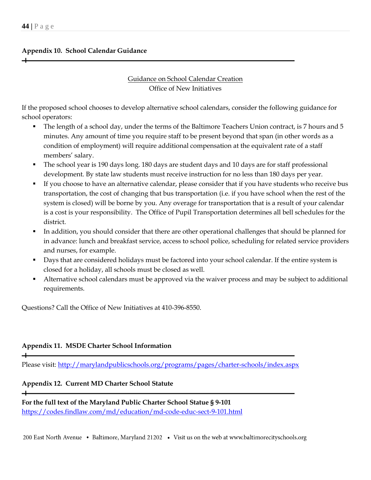## **Appendix 10. School Calendar Guidance**

# Guidance on School Calendar Creation Office of New Initiatives

If the proposed school chooses to develop alternative school calendars, consider the following guidance for school operators:

- The length of a school day, under the terms of the Baltimore Teachers Union contract, is 7 hours and 5 minutes. Any amount of time you require staff to be present beyond that span (in other words as a condition of employment) will require additional compensation at the equivalent rate of a staff members' salary.
- The school year is 190 days long. 180 days are student days and 10 days are for staff professional development. By state law students must receive instruction for no less than 180 days per year.
- If you choose to have an alternative calendar, please consider that if you have students who receive bus transportation, the cost of changing that bus transportation (i.e. if you have school when the rest of the system is closed) will be borne by you. Any overage for transportation that is a result of your calendar is a cost is your responsibility. The Office of Pupil Transportation determines all bell schedules for the district.
- In addition, you should consider that there are other operational challenges that should be planned for in advance: lunch and breakfast service, access to school police, scheduling for related service providers and nurses, for example.
- Days that are considered holidays must be factored into your school calendar. If the entire system is closed for a holiday, all schools must be closed as well.
- Alternative school calendars must be approved via the waiver process and may be subject to additional requirements.

Questions? Call the Office of New Initiatives at 410-396-8550.

# **Appendix 11. MSDE Charter School Information**

 $\overline{\phantom{0}}$ 

 $+$ 

Please visit:<http://marylandpublicschools.org/programs/pages/charter-schools/index.aspx>

# **Appendix 12. Current MD Charter School Statute**

**For the full text of the Maryland Public Charter School Statue § 9-101** <https://codes.findlaw.com/md/education/md-code-educ-sect-9-101.html>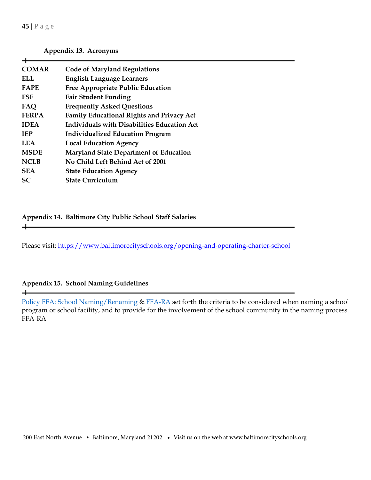**Appendix 13. Acronyms**

| <b>COMAR</b> | <b>Code of Maryland Regulations</b>              |
|--------------|--------------------------------------------------|
| ELL.         | <b>English Language Learners</b>                 |
| <b>FAPE</b>  | <b>Free Appropriate Public Education</b>         |
| FSF          | <b>Fair Student Funding</b>                      |
| <b>FAQ</b>   | <b>Frequently Asked Questions</b>                |
| <b>FERPA</b> | <b>Family Educational Rights and Privacy Act</b> |
| <b>IDEA</b>  | Individuals with Disabilities Education Act      |
| <b>TEP</b>   | <b>Individualized Education Program</b>          |
| <b>LEA</b>   | <b>Local Education Agency</b>                    |
| <b>MSDE</b>  | <b>Maryland State Department of Education</b>    |
| <b>NCLB</b>  | No Child Left Behind Act of 2001                 |
| <b>SEA</b>   | <b>State Education Agency</b>                    |
| <b>SC</b>    | <b>State Curriculum</b>                          |
|              |                                                  |

**Appendix 14. Baltimore City Public School Staff Salaries** 

Please visit:<https://www.baltimorecityschools.org/opening-and-operating-charter-school>

# **Appendix 15. School Naming Guidelines**

 $+$ 

[Policy FFA: School Naming/Renaming](http://go.boarddocs.com/mabe/bcpss/Board.nsf/goto?open&id=87UHQ97D6CA1) & [FFA-RA](http://go.boarddocs.com/mabe/bcpss/Board.nsf/goto?open&id=87UHQA7D6CB5) set forth the criteria to be considered when naming a school program or school facility, and to provide for the involvement of the school community in the naming process. FFA-RA